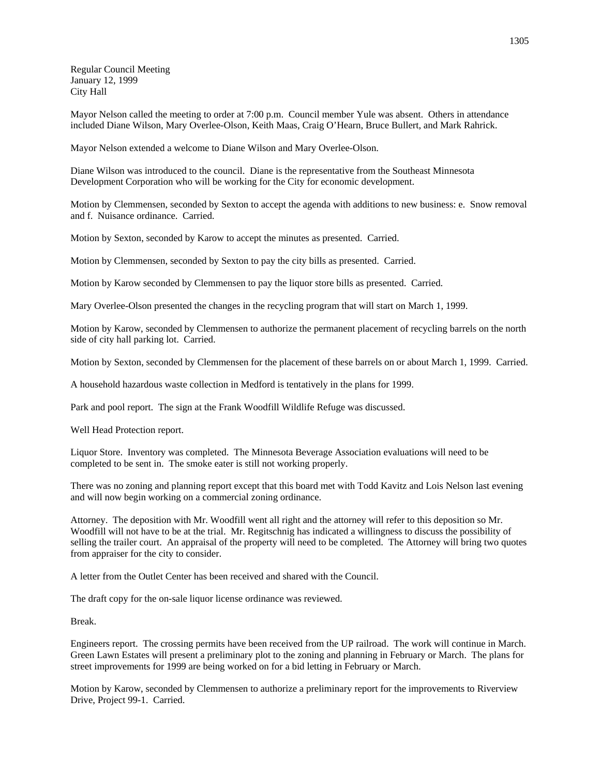Regular Council Meeting January 12, 1999 City Hall

Mayor Nelson called the meeting to order at 7:00 p.m. Council member Yule was absent. Others in attendance included Diane Wilson, Mary Overlee-Olson, Keith Maas, Craig O'Hearn, Bruce Bullert, and Mark Rahrick.

Mayor Nelson extended a welcome to Diane Wilson and Mary Overlee-Olson.

Diane Wilson was introduced to the council. Diane is the representative from the Southeast Minnesota Development Corporation who will be working for the City for economic development.

Motion by Clemmensen, seconded by Sexton to accept the agenda with additions to new business: e. Snow removal and f. Nuisance ordinance. Carried.

Motion by Sexton, seconded by Karow to accept the minutes as presented. Carried.

Motion by Clemmensen, seconded by Sexton to pay the city bills as presented. Carried.

Motion by Karow seconded by Clemmensen to pay the liquor store bills as presented. Carried.

Mary Overlee-Olson presented the changes in the recycling program that will start on March 1, 1999.

Motion by Karow, seconded by Clemmensen to authorize the permanent placement of recycling barrels on the north side of city hall parking lot. Carried.

Motion by Sexton, seconded by Clemmensen for the placement of these barrels on or about March 1, 1999. Carried.

A household hazardous waste collection in Medford is tentatively in the plans for 1999.

Park and pool report. The sign at the Frank Woodfill Wildlife Refuge was discussed.

Well Head Protection report.

Liquor Store. Inventory was completed. The Minnesota Beverage Association evaluations will need to be completed to be sent in. The smoke eater is still not working properly.

There was no zoning and planning report except that this board met with Todd Kavitz and Lois Nelson last evening and will now begin working on a commercial zoning ordinance.

Attorney. The deposition with Mr. Woodfill went all right and the attorney will refer to this deposition so Mr. Woodfill will not have to be at the trial. Mr. Regitschnig has indicated a willingness to discuss the possibility of selling the trailer court. An appraisal of the property will need to be completed. The Attorney will bring two quotes from appraiser for the city to consider.

A letter from the Outlet Center has been received and shared with the Council.

The draft copy for the on-sale liquor license ordinance was reviewed.

Break.

Engineers report. The crossing permits have been received from the UP railroad. The work will continue in March. Green Lawn Estates will present a preliminary plot to the zoning and planning in February or March. The plans for street improvements for 1999 are being worked on for a bid letting in February or March.

Motion by Karow, seconded by Clemmensen to authorize a preliminary report for the improvements to Riverview Drive, Project 99-1. Carried.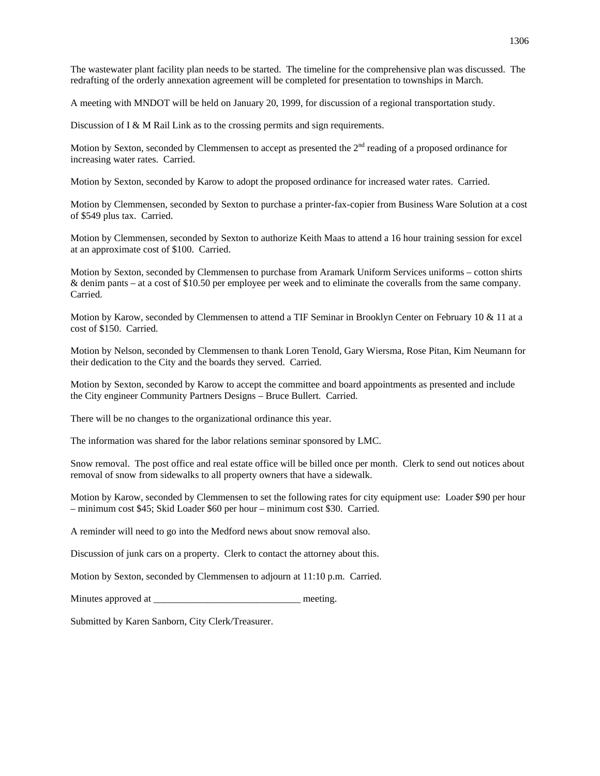A meeting with MNDOT will be held on January 20, 1999, for discussion of a regional transportation study.

Discussion of I & M Rail Link as to the crossing permits and sign requirements.

Motion by Sexton, seconded by Clemmensen to accept as presented the 2<sup>nd</sup> reading of a proposed ordinance for increasing water rates. Carried.

Motion by Sexton, seconded by Karow to adopt the proposed ordinance for increased water rates. Carried.

Motion by Clemmensen, seconded by Sexton to purchase a printer-fax-copier from Business Ware Solution at a cost of \$549 plus tax. Carried.

Motion by Clemmensen, seconded by Sexton to authorize Keith Maas to attend a 16 hour training session for excel at an approximate cost of \$100. Carried.

Motion by Sexton, seconded by Clemmensen to purchase from Aramark Uniform Services uniforms – cotton shirts & denim pants – at a cost of \$10.50 per employee per week and to eliminate the coveralls from the same company. Carried.

Motion by Karow, seconded by Clemmensen to attend a TIF Seminar in Brooklyn Center on February 10 & 11 at a cost of \$150. Carried.

Motion by Nelson, seconded by Clemmensen to thank Loren Tenold, Gary Wiersma, Rose Pitan, Kim Neumann for their dedication to the City and the boards they served. Carried.

Motion by Sexton, seconded by Karow to accept the committee and board appointments as presented and include the City engineer Community Partners Designs – Bruce Bullert. Carried.

There will be no changes to the organizational ordinance this year.

The information was shared for the labor relations seminar sponsored by LMC.

Snow removal. The post office and real estate office will be billed once per month. Clerk to send out notices about removal of snow from sidewalks to all property owners that have a sidewalk.

Motion by Karow, seconded by Clemmensen to set the following rates for city equipment use: Loader \$90 per hour – minimum cost \$45; Skid Loader \$60 per hour – minimum cost \$30. Carried.

A reminder will need to go into the Medford news about snow removal also.

Discussion of junk cars on a property. Clerk to contact the attorney about this.

Motion by Sexton, seconded by Clemmensen to adjourn at 11:10 p.m. Carried.

Minutes approved at \_\_\_\_\_\_\_\_\_\_\_\_\_\_\_\_\_\_\_\_\_\_\_\_\_\_\_\_\_\_ meeting.

Submitted by Karen Sanborn, City Clerk/Treasurer.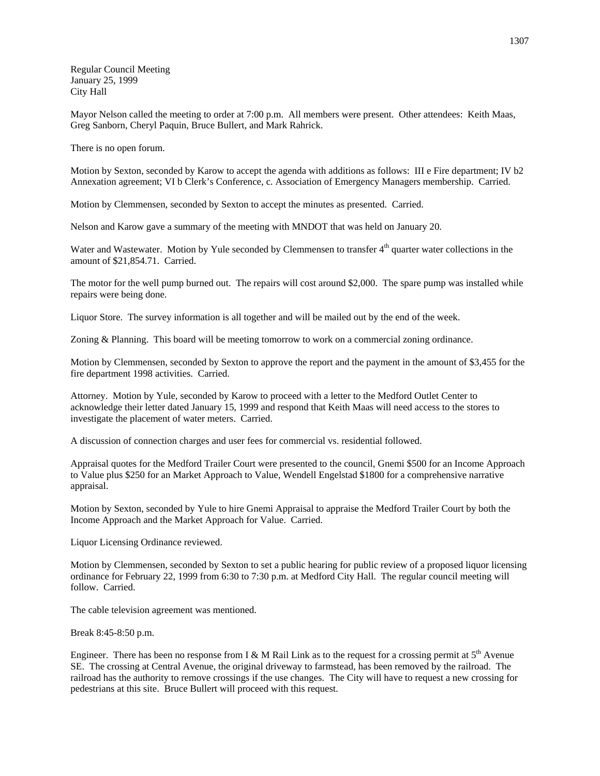Regular Council Meeting January 25, 1999 City Hall

Mayor Nelson called the meeting to order at 7:00 p.m. All members were present. Other attendees: Keith Maas, Greg Sanborn, Cheryl Paquin, Bruce Bullert, and Mark Rahrick.

There is no open forum.

Motion by Sexton, seconded by Karow to accept the agenda with additions as follows: III e Fire department; IV b2 Annexation agreement; VI b Clerk's Conference, c. Association of Emergency Managers membership. Carried.

Motion by Clemmensen, seconded by Sexton to accept the minutes as presented. Carried.

Nelson and Karow gave a summary of the meeting with MNDOT that was held on January 20.

Water and Wastewater. Motion by Yule seconded by Clemmensen to transfer 4<sup>th</sup> quarter water collections in the amount of \$21,854.71. Carried.

The motor for the well pump burned out. The repairs will cost around \$2,000. The spare pump was installed while repairs were being done.

Liquor Store. The survey information is all together and will be mailed out by the end of the week.

Zoning & Planning. This board will be meeting tomorrow to work on a commercial zoning ordinance.

Motion by Clemmensen, seconded by Sexton to approve the report and the payment in the amount of \$3,455 for the fire department 1998 activities. Carried.

Attorney. Motion by Yule, seconded by Karow to proceed with a letter to the Medford Outlet Center to acknowledge their letter dated January 15, 1999 and respond that Keith Maas will need access to the stores to investigate the placement of water meters. Carried.

A discussion of connection charges and user fees for commercial vs. residential followed.

Appraisal quotes for the Medford Trailer Court were presented to the council, Gnemi \$500 for an Income Approach to Value plus \$250 for an Market Approach to Value, Wendell Engelstad \$1800 for a comprehensive narrative appraisal.

Motion by Sexton, seconded by Yule to hire Gnemi Appraisal to appraise the Medford Trailer Court by both the Income Approach and the Market Approach for Value. Carried.

Liquor Licensing Ordinance reviewed.

Motion by Clemmensen, seconded by Sexton to set a public hearing for public review of a proposed liquor licensing ordinance for February 22, 1999 from 6:30 to 7:30 p.m. at Medford City Hall. The regular council meeting will follow. Carried.

The cable television agreement was mentioned.

Break 8:45-8:50 p.m.

Engineer. There has been no response from I & M Rail Link as to the request for a crossing permit at  $5<sup>th</sup>$  Avenue SE. The crossing at Central Avenue, the original driveway to farmstead, has been removed by the railroad. The railroad has the authority to remove crossings if the use changes. The City will have to request a new crossing for pedestrians at this site. Bruce Bullert will proceed with this request.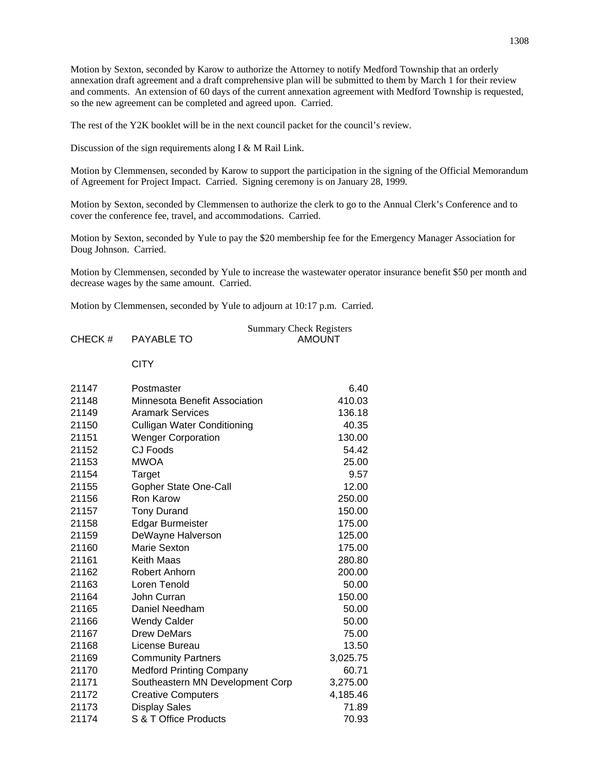Motion by Sexton, seconded by Karow to authorize the Attorney to notify Medford Township that an orderly annexation draft agreement and a draft comprehensive plan will be submitted to them by March 1 for their review and comments. An extension of 60 days of the current annexation agreement with Medford Township is requested, so the new agreement can be completed and agreed upon. Carried.

The rest of the Y2K booklet will be in the next council packet for the council's review.

Discussion of the sign requirements along I & M Rail Link.

Motion by Clemmensen, seconded by Karow to support the participation in the signing of the Official Memorandum of Agreement for Project Impact. Carried. Signing ceremony is on January 28, 1999.

Motion by Sexton, seconded by Clemmensen to authorize the clerk to go to the Annual Clerk's Conference and to cover the conference fee, travel, and accommodations. Carried.

Motion by Sexton, seconded by Yule to pay the \$20 membership fee for the Emergency Manager Association for Doug Johnson. Carried.

Motion by Clemmensen, seconded by Yule to increase the wastewater operator insurance benefit \$50 per month and decrease wages by the same amount. Carried.

Motion by Clemmensen, seconded by Yule to adjourn at 10:17 p.m. Carried.

|        |            | <b>Summary Check Registers</b> |
|--------|------------|--------------------------------|
| CHECK# | PAYABLE TO | AMOUNT                         |
|        |            |                                |

## **CITY**

| 21147 | Postmaster                         | 6.40     |
|-------|------------------------------------|----------|
| 21148 | Minnesota Benefit Association      | 410.03   |
| 21149 | <b>Aramark Services</b>            | 136.18   |
| 21150 | <b>Culligan Water Conditioning</b> | 40.35    |
| 21151 | <b>Wenger Corporation</b>          | 130.00   |
| 21152 | CJ Foods                           | 54.42    |
| 21153 | <b>MWOA</b>                        | 25.00    |
| 21154 | Target                             | 9.57     |
| 21155 | Gopher State One-Call              | 12.00    |
| 21156 | Ron Karow                          | 250.00   |
| 21157 | <b>Tony Durand</b>                 | 150.00   |
| 21158 | <b>Edgar Burmeister</b>            | 175.00   |
| 21159 | DeWayne Halverson                  | 125.00   |
| 21160 | Marie Sexton                       | 175.00   |
| 21161 | Keith Maas                         | 280.80   |
| 21162 | Robert Anhorn                      | 200.00   |
| 21163 | Loren Tenold                       | 50.00    |
| 21164 | John Curran                        | 150.00   |
| 21165 | Daniel Needham                     | 50.00    |
| 21166 | <b>Wendy Calder</b>                | 50.00    |
| 21167 | <b>Drew DeMars</b>                 | 75.00    |
| 21168 | License Bureau                     | 13.50    |
| 21169 | <b>Community Partners</b>          | 3,025.75 |
| 21170 | <b>Medford Printing Company</b>    | 60.71    |
| 21171 | Southeastern MN Development Corp   | 3,275.00 |
| 21172 | <b>Creative Computers</b>          | 4,185.46 |
| 21173 | <b>Display Sales</b>               | 71.89    |
| 21174 | S & T Office Products              | 70.93    |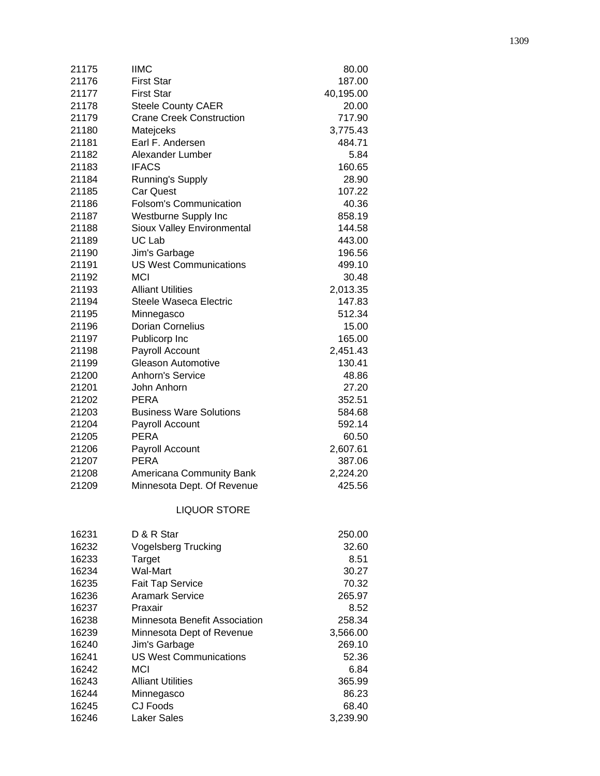| 21175 | <b>IIMC</b>                     | 80.00              |
|-------|---------------------------------|--------------------|
| 21176 | <b>First Star</b>               | 187.00             |
| 21177 | <b>First Star</b>               | 40,195.00          |
| 21178 | <b>Steele County CAER</b>       | 20.00              |
| 21179 | <b>Crane Creek Construction</b> | 717.90             |
| 21180 | Matejceks                       | 3,775.43           |
| 21181 | Earl F. Andersen                | 484.71             |
| 21182 | Alexander Lumber                | 5.84               |
| 21183 | <b>IFACS</b>                    | 160.65             |
| 21184 | Running's Supply                | 28.90              |
| 21185 | <b>Car Quest</b>                | 107.22             |
| 21186 | <b>Folsom's Communication</b>   | 40.36              |
| 21187 | Westburne Supply Inc            | 858.19             |
| 21188 | Sioux Valley Environmental      | 144.58             |
| 21189 | UC Lab                          | 443.00             |
| 21190 | Jim's Garbage                   | 196.56             |
| 21191 | <b>US West Communications</b>   | 499.10             |
| 21192 | <b>MCI</b>                      | 30.48              |
| 21193 | <b>Alliant Utilities</b>        | 2,013.35           |
| 21194 | <b>Steele Waseca Electric</b>   | 147.83             |
| 21195 | Minnegasco                      | 512.34             |
| 21196 | Dorian Cornelius                | 15.00              |
| 21197 | Publicorp Inc                   | 165.00             |
| 21198 | Payroll Account                 | 2,451.43           |
| 21199 | <b>Gleason Automotive</b>       | 130.41             |
| 21200 | Anhorn's Service                | 48.86              |
| 21201 | John Anhorn                     | 27.20              |
| 21202 | <b>PERA</b>                     | 352.51             |
| 21203 | <b>Business Ware Solutions</b>  | 584.68             |
| 21204 | Payroll Account                 | 592.14             |
| 21205 | <b>PERA</b>                     | 60.50              |
| 21206 |                                 |                    |
| 21207 | Payroll Account<br><b>PERA</b>  | 2,607.61<br>387.06 |
| 21208 | Americana Community Bank        |                    |
| 21209 | Minnesota Dept. Of Revenue      | 2,224.20<br>425.56 |
|       |                                 |                    |
|       | <b>LIQUOR STORE</b>             |                    |
| 16231 | D & R Star                      | 250.00             |
| 16232 | <b>Vogelsberg Trucking</b>      | 32.60              |
| 16233 | Target                          | 8.51               |
| 16234 | <b>Wal-Mart</b>                 | 30.27              |
| 16235 | Fait Tap Service                | 70.32              |
| 16236 | <b>Aramark Service</b>          | 265.97             |
| 16237 | Praxair                         | 8.52               |
| 16238 | Minnesota Benefit Association   | 258.34             |
| 16239 | Minnesota Dept of Revenue       | 3,566.00           |
| 16240 | Jim's Garbage                   | 269.10             |
| 16241 | <b>US West Communications</b>   | 52.36              |
| 16242 | <b>MCI</b>                      | 6.84               |
| 16243 | <b>Alliant Utilities</b>        | 365.99             |
| 16244 | Minnegasco                      | 86.23              |
| 16245 | <b>CJ Foods</b>                 | 68.40              |
| 16246 | <b>Laker Sales</b>              | 3,239.90           |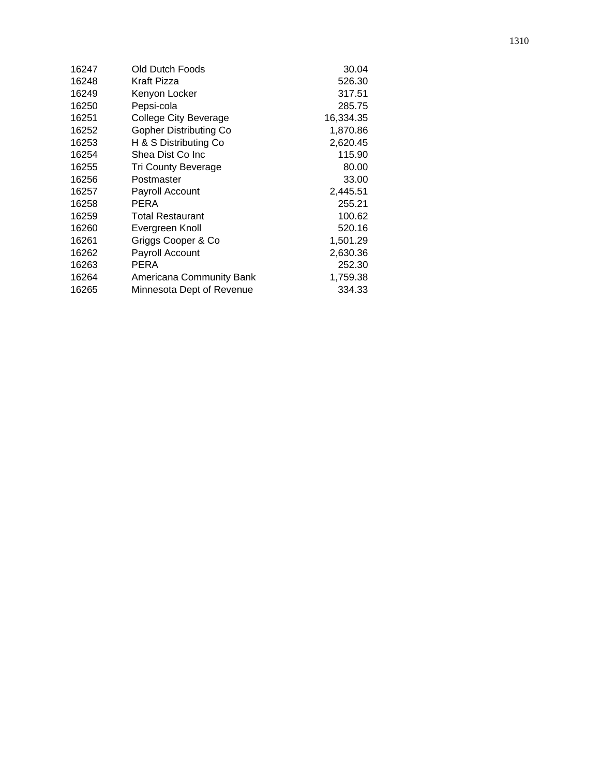| 16247 | Old Dutch Foods              | 30.04     |
|-------|------------------------------|-----------|
| 16248 | Kraft Pizza                  | 526.30    |
| 16249 | Kenyon Locker                | 317.51    |
| 16250 | Pepsi-cola                   | 285.75    |
| 16251 | <b>College City Beverage</b> | 16,334.35 |
| 16252 | Gopher Distributing Co       | 1,870.86  |
| 16253 | H & S Distributing Co        | 2,620.45  |
| 16254 | Shea Dist Co Inc             | 115.90    |
| 16255 | <b>Tri County Beverage</b>   | 80.00     |
| 16256 | Postmaster                   | 33.00     |
| 16257 | Payroll Account              | 2,445.51  |
| 16258 | <b>PERA</b>                  | 255.21    |
| 16259 | <b>Total Restaurant</b>      | 100.62    |
| 16260 | Evergreen Knoll              | 520.16    |
| 16261 | Griggs Cooper & Co           | 1,501.29  |
| 16262 | Payroll Account              | 2,630.36  |
| 16263 | <b>PERA</b>                  | 252.30    |
| 16264 | Americana Community Bank     | 1,759.38  |
| 16265 | Minnesota Dept of Revenue    | 334.33    |
|       |                              |           |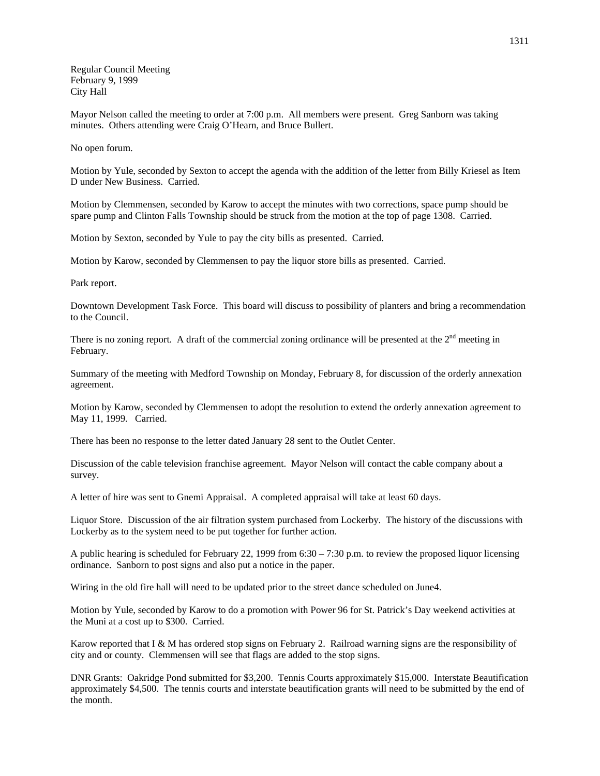Regular Council Meeting February 9, 1999 City Hall

Mayor Nelson called the meeting to order at 7:00 p.m. All members were present. Greg Sanborn was taking minutes. Others attending were Craig O'Hearn, and Bruce Bullert.

No open forum.

Motion by Yule, seconded by Sexton to accept the agenda with the addition of the letter from Billy Kriesel as Item D under New Business. Carried.

Motion by Clemmensen, seconded by Karow to accept the minutes with two corrections, space pump should be spare pump and Clinton Falls Township should be struck from the motion at the top of page 1308. Carried.

Motion by Sexton, seconded by Yule to pay the city bills as presented. Carried.

Motion by Karow, seconded by Clemmensen to pay the liquor store bills as presented. Carried.

Park report.

Downtown Development Task Force. This board will discuss to possibility of planters and bring a recommendation to the Council.

There is no zoning report. A draft of the commercial zoning ordinance will be presented at the  $2<sup>nd</sup>$  meeting in February.

Summary of the meeting with Medford Township on Monday, February 8, for discussion of the orderly annexation agreement.

Motion by Karow, seconded by Clemmensen to adopt the resolution to extend the orderly annexation agreement to May 11, 1999. Carried.

There has been no response to the letter dated January 28 sent to the Outlet Center.

Discussion of the cable television franchise agreement. Mayor Nelson will contact the cable company about a survey.

A letter of hire was sent to Gnemi Appraisal. A completed appraisal will take at least 60 days.

Liquor Store. Discussion of the air filtration system purchased from Lockerby. The history of the discussions with Lockerby as to the system need to be put together for further action.

A public hearing is scheduled for February 22, 1999 from  $6:30 - 7:30$  p.m. to review the proposed liquor licensing ordinance. Sanborn to post signs and also put a notice in the paper.

Wiring in the old fire hall will need to be updated prior to the street dance scheduled on June4.

Motion by Yule, seconded by Karow to do a promotion with Power 96 for St. Patrick's Day weekend activities at the Muni at a cost up to \$300. Carried.

Karow reported that I & M has ordered stop signs on February 2. Railroad warning signs are the responsibility of city and or county. Clemmensen will see that flags are added to the stop signs.

DNR Grants: Oakridge Pond submitted for \$3,200. Tennis Courts approximately \$15,000. Interstate Beautification approximately \$4,500. The tennis courts and interstate beautification grants will need to be submitted by the end of the month.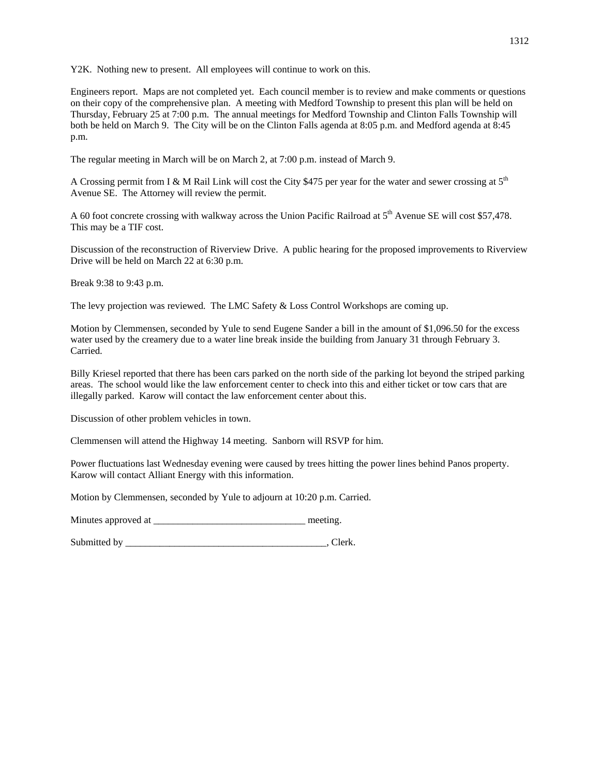Y2K. Nothing new to present. All employees will continue to work on this.

Engineers report. Maps are not completed yet. Each council member is to review and make comments or questions on their copy of the comprehensive plan. A meeting with Medford Township to present this plan will be held on Thursday, February 25 at 7:00 p.m. The annual meetings for Medford Township and Clinton Falls Township will both be held on March 9. The City will be on the Clinton Falls agenda at 8:05 p.m. and Medford agenda at 8:45 p.m.

The regular meeting in March will be on March 2, at 7:00 p.m. instead of March 9.

A Crossing permit from I & M Rail Link will cost the City \$475 per year for the water and sewer crossing at 5<sup>th</sup> Avenue SE. The Attorney will review the permit.

A 60 foot concrete crossing with walkway across the Union Pacific Railroad at 5<sup>th</sup> Avenue SE will cost \$57,478. This may be a TIF cost.

Discussion of the reconstruction of Riverview Drive. A public hearing for the proposed improvements to Riverview Drive will be held on March 22 at 6:30 p.m.

Break 9:38 to 9:43 p.m.

The levy projection was reviewed. The LMC Safety & Loss Control Workshops are coming up.

Motion by Clemmensen, seconded by Yule to send Eugene Sander a bill in the amount of \$1,096.50 for the excess water used by the creamery due to a water line break inside the building from January 31 through February 3. Carried.

Billy Kriesel reported that there has been cars parked on the north side of the parking lot beyond the striped parking areas. The school would like the law enforcement center to check into this and either ticket or tow cars that are illegally parked. Karow will contact the law enforcement center about this.

Discussion of other problem vehicles in town.

Clemmensen will attend the Highway 14 meeting. Sanborn will RSVP for him.

Power fluctuations last Wednesday evening were caused by trees hitting the power lines behind Panos property. Karow will contact Alliant Energy with this information.

Motion by Clemmensen, seconded by Yule to adjourn at 10:20 p.m. Carried.

Minutes approved at \_\_\_\_\_\_\_\_\_\_\_\_\_\_\_\_\_\_\_\_\_\_\_\_\_\_\_\_\_\_\_ meeting.

Submitted by \_\_\_\_\_\_\_\_\_\_\_\_\_\_\_\_\_\_\_\_\_\_\_\_\_\_\_\_\_\_\_\_\_\_\_\_\_\_\_\_\_, Clerk.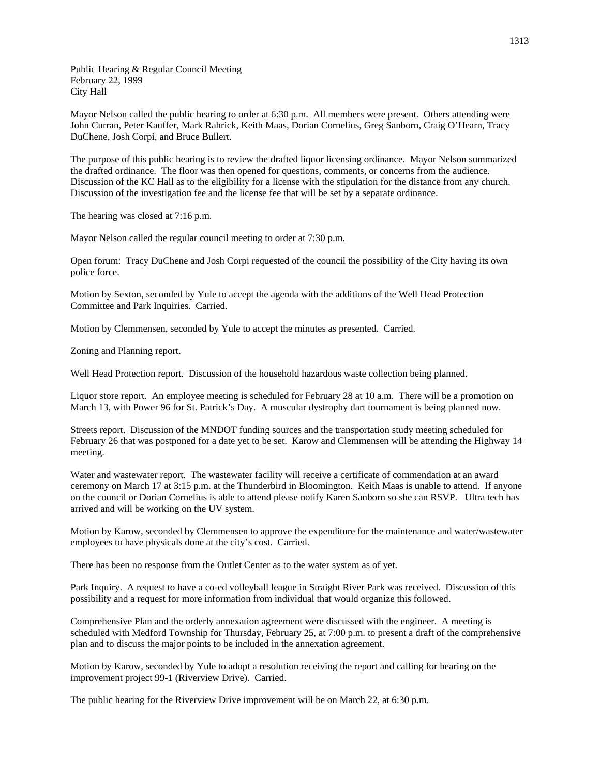Public Hearing & Regular Council Meeting February 22, 1999 City Hall

Mayor Nelson called the public hearing to order at 6:30 p.m. All members were present. Others attending were John Curran, Peter Kauffer, Mark Rahrick, Keith Maas, Dorian Cornelius, Greg Sanborn, Craig O'Hearn, Tracy DuChene, Josh Corpi, and Bruce Bullert.

The purpose of this public hearing is to review the drafted liquor licensing ordinance. Mayor Nelson summarized the drafted ordinance. The floor was then opened for questions, comments, or concerns from the audience. Discussion of the KC Hall as to the eligibility for a license with the stipulation for the distance from any church. Discussion of the investigation fee and the license fee that will be set by a separate ordinance.

The hearing was closed at 7:16 p.m.

Mayor Nelson called the regular council meeting to order at 7:30 p.m.

Open forum: Tracy DuChene and Josh Corpi requested of the council the possibility of the City having its own police force.

Motion by Sexton, seconded by Yule to accept the agenda with the additions of the Well Head Protection Committee and Park Inquiries. Carried.

Motion by Clemmensen, seconded by Yule to accept the minutes as presented. Carried.

Zoning and Planning report.

Well Head Protection report. Discussion of the household hazardous waste collection being planned.

Liquor store report. An employee meeting is scheduled for February 28 at 10 a.m. There will be a promotion on March 13, with Power 96 for St. Patrick's Day. A muscular dystrophy dart tournament is being planned now.

Streets report. Discussion of the MNDOT funding sources and the transportation study meeting scheduled for February 26 that was postponed for a date yet to be set. Karow and Clemmensen will be attending the Highway 14 meeting.

Water and wastewater report. The wastewater facility will receive a certificate of commendation at an award ceremony on March 17 at 3:15 p.m. at the Thunderbird in Bloomington. Keith Maas is unable to attend. If anyone on the council or Dorian Cornelius is able to attend please notify Karen Sanborn so she can RSVP. Ultra tech has arrived and will be working on the UV system.

Motion by Karow, seconded by Clemmensen to approve the expenditure for the maintenance and water/wastewater employees to have physicals done at the city's cost. Carried.

There has been no response from the Outlet Center as to the water system as of yet.

Park Inquiry. A request to have a co-ed volleyball league in Straight River Park was received. Discussion of this possibility and a request for more information from individual that would organize this followed.

Comprehensive Plan and the orderly annexation agreement were discussed with the engineer. A meeting is scheduled with Medford Township for Thursday, February 25, at 7:00 p.m. to present a draft of the comprehensive plan and to discuss the major points to be included in the annexation agreement.

Motion by Karow, seconded by Yule to adopt a resolution receiving the report and calling for hearing on the improvement project 99-1 (Riverview Drive). Carried.

The public hearing for the Riverview Drive improvement will be on March 22, at 6:30 p.m.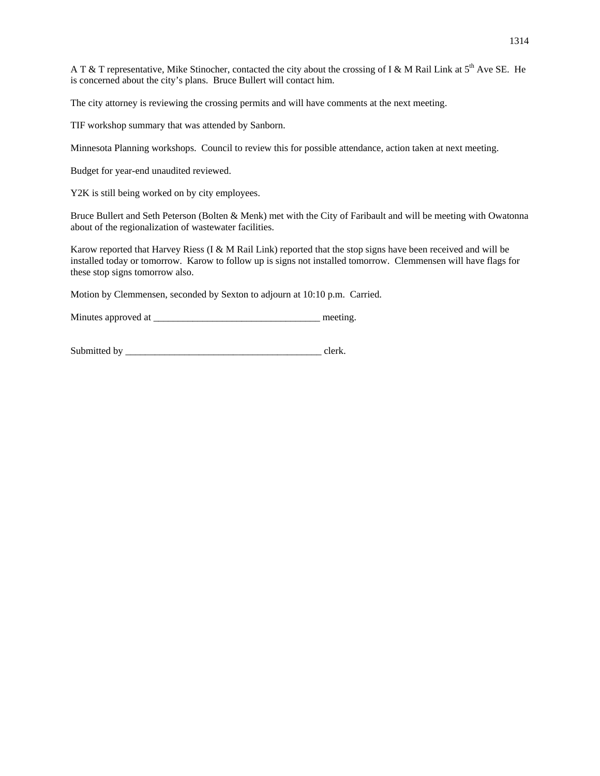A T & T representative, Mike Stinocher, contacted the city about the crossing of I & M Rail Link at  $5<sup>th</sup>$  Ave SE. He is concerned about the city's plans. Bruce Bullert will contact him.

The city attorney is reviewing the crossing permits and will have comments at the next meeting.

TIF workshop summary that was attended by Sanborn.

Minnesota Planning workshops. Council to review this for possible attendance, action taken at next meeting.

Budget for year-end unaudited reviewed.

Y2K is still being worked on by city employees.

Bruce Bullert and Seth Peterson (Bolten & Menk) met with the City of Faribault and will be meeting with Owatonna about of the regionalization of wastewater facilities.

Karow reported that Harvey Riess (I & M Rail Link) reported that the stop signs have been received and will be installed today or tomorrow. Karow to follow up is signs not installed tomorrow. Clemmensen will have flags for these stop signs tomorrow also.

Motion by Clemmensen, seconded by Sexton to adjourn at 10:10 p.m. Carried.

Minutes approved at \_\_\_\_\_\_\_\_\_\_\_\_\_\_\_\_\_\_\_\_\_\_\_\_\_\_\_\_\_\_\_\_\_\_ meeting.

Submitted by \_\_\_\_\_\_\_\_\_\_\_\_\_\_\_\_\_\_\_\_\_\_\_\_\_\_\_\_\_\_\_\_\_\_\_\_\_\_\_\_ clerk.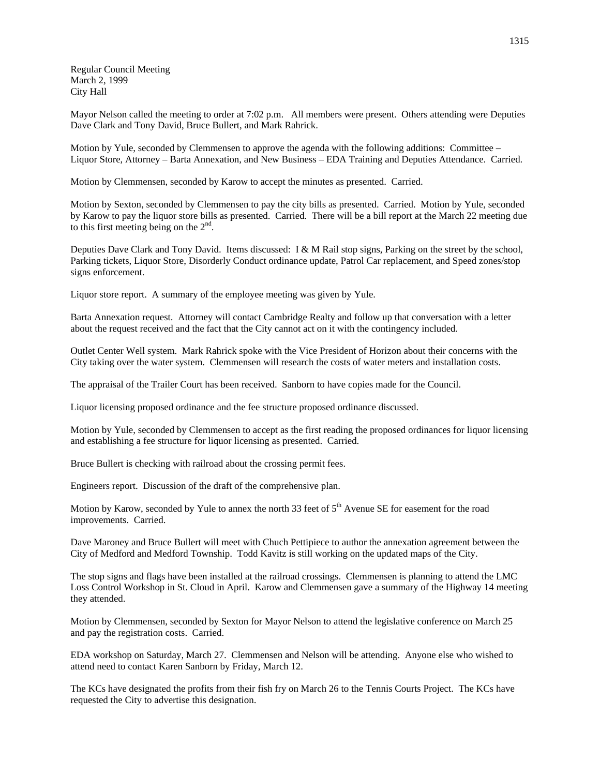Regular Council Meeting March 2, 1999 City Hall

Mayor Nelson called the meeting to order at 7:02 p.m. All members were present. Others attending were Deputies Dave Clark and Tony David, Bruce Bullert, and Mark Rahrick.

Motion by Yule, seconded by Clemmensen to approve the agenda with the following additions: Committee – Liquor Store, Attorney – Barta Annexation, and New Business – EDA Training and Deputies Attendance. Carried.

Motion by Clemmensen, seconded by Karow to accept the minutes as presented. Carried.

Motion by Sexton, seconded by Clemmensen to pay the city bills as presented. Carried. Motion by Yule, seconded by Karow to pay the liquor store bills as presented. Carried. There will be a bill report at the March 22 meeting due to this first meeting being on the  $2<sup>nd</sup>$ .

Deputies Dave Clark and Tony David. Items discussed: I & M Rail stop signs, Parking on the street by the school, Parking tickets, Liquor Store, Disorderly Conduct ordinance update, Patrol Car replacement, and Speed zones/stop signs enforcement.

Liquor store report. A summary of the employee meeting was given by Yule.

Barta Annexation request. Attorney will contact Cambridge Realty and follow up that conversation with a letter about the request received and the fact that the City cannot act on it with the contingency included.

Outlet Center Well system. Mark Rahrick spoke with the Vice President of Horizon about their concerns with the City taking over the water system. Clemmensen will research the costs of water meters and installation costs.

The appraisal of the Trailer Court has been received. Sanborn to have copies made for the Council.

Liquor licensing proposed ordinance and the fee structure proposed ordinance discussed.

Motion by Yule, seconded by Clemmensen to accept as the first reading the proposed ordinances for liquor licensing and establishing a fee structure for liquor licensing as presented. Carried.

Bruce Bullert is checking with railroad about the crossing permit fees.

Engineers report. Discussion of the draft of the comprehensive plan.

Motion by Karow, seconded by Yule to annex the north 33 feet of 5<sup>th</sup> Avenue SE for easement for the road improvements. Carried.

Dave Maroney and Bruce Bullert will meet with Chuch Pettipiece to author the annexation agreement between the City of Medford and Medford Township. Todd Kavitz is still working on the updated maps of the City.

The stop signs and flags have been installed at the railroad crossings. Clemmensen is planning to attend the LMC Loss Control Workshop in St. Cloud in April. Karow and Clemmensen gave a summary of the Highway 14 meeting they attended.

Motion by Clemmensen, seconded by Sexton for Mayor Nelson to attend the legislative conference on March 25 and pay the registration costs. Carried.

EDA workshop on Saturday, March 27. Clemmensen and Nelson will be attending. Anyone else who wished to attend need to contact Karen Sanborn by Friday, March 12.

The KCs have designated the profits from their fish fry on March 26 to the Tennis Courts Project. The KCs have requested the City to advertise this designation.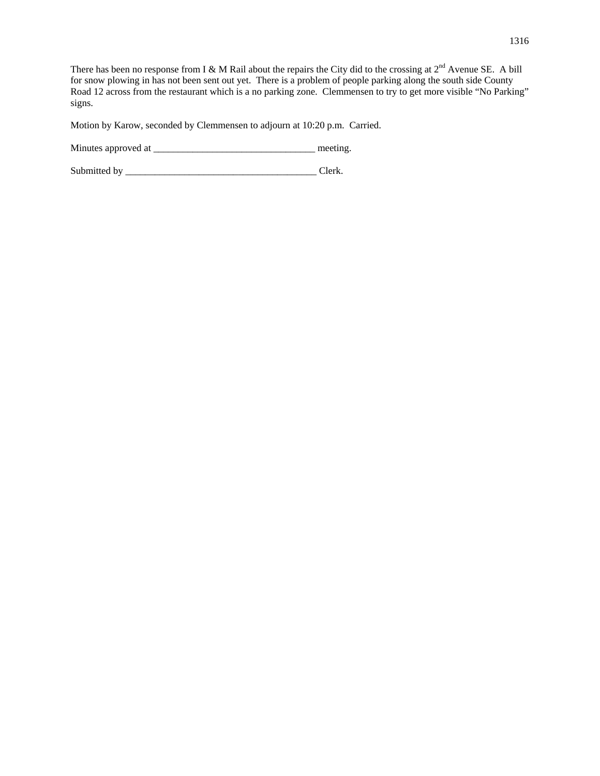There has been no response from I & M Rail about the repairs the City did to the crossing at  $2^{nd}$  Avenue SE. A bill for snow plowing in has not been sent out yet. There is a problem of people parking along the south side County Road 12 across from the restaurant which is a no parking zone. Clemmensen to try to get more visible "No Parking" signs.

Motion by Karow, seconded by Clemmensen to adjourn at 10:20 p.m. Carried.

Minutes approved at \_\_\_\_\_\_\_\_\_\_\_\_\_\_\_\_\_\_\_\_\_\_\_\_\_\_\_\_\_\_\_\_\_ meeting.

Submitted by \_\_\_\_\_\_\_\_\_\_\_\_\_\_\_\_\_\_\_\_\_\_\_\_\_\_\_\_\_\_\_\_\_\_\_\_\_\_\_ Clerk.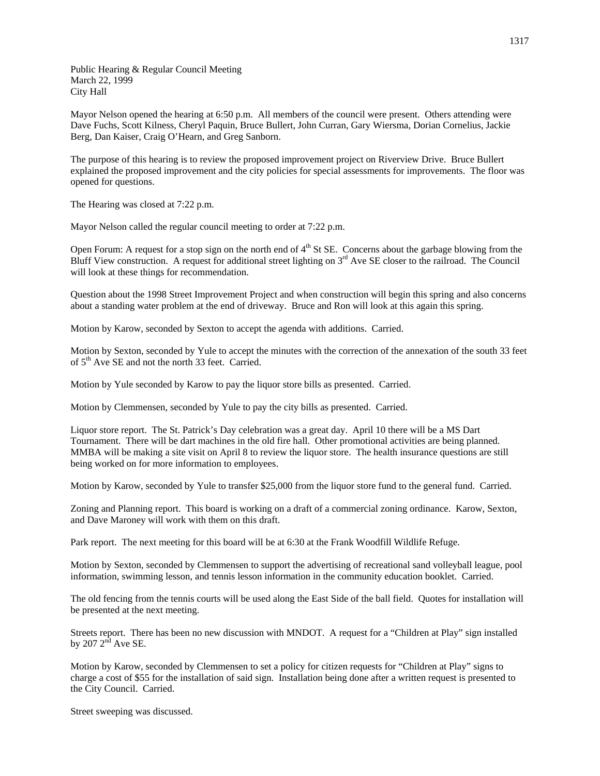Public Hearing & Regular Council Meeting March 22, 1999 City Hall

Mayor Nelson opened the hearing at 6:50 p.m. All members of the council were present. Others attending were Dave Fuchs, Scott Kilness, Cheryl Paquin, Bruce Bullert, John Curran, Gary Wiersma, Dorian Cornelius, Jackie Berg, Dan Kaiser, Craig O'Hearn, and Greg Sanborn.

The purpose of this hearing is to review the proposed improvement project on Riverview Drive. Bruce Bullert explained the proposed improvement and the city policies for special assessments for improvements. The floor was opened for questions.

The Hearing was closed at 7:22 p.m.

Mayor Nelson called the regular council meeting to order at 7:22 p.m.

Open Forum: A request for a stop sign on the north end of 4<sup>th</sup> St SE. Concerns about the garbage blowing from the Bluff View construction. A request for additional street lighting on  $3<sup>rd</sup>$  Ave SE closer to the railroad. The Council will look at these things for recommendation.

Question about the 1998 Street Improvement Project and when construction will begin this spring and also concerns about a standing water problem at the end of driveway. Bruce and Ron will look at this again this spring.

Motion by Karow, seconded by Sexton to accept the agenda with additions. Carried.

Motion by Sexton, seconded by Yule to accept the minutes with the correction of the annexation of the south 33 feet of  $5<sup>th</sup>$  Ave SE and not the north 33 feet. Carried.

Motion by Yule seconded by Karow to pay the liquor store bills as presented. Carried.

Motion by Clemmensen, seconded by Yule to pay the city bills as presented. Carried.

Liquor store report. The St. Patrick's Day celebration was a great day. April 10 there will be a MS Dart Tournament. There will be dart machines in the old fire hall. Other promotional activities are being planned. MMBA will be making a site visit on April 8 to review the liquor store. The health insurance questions are still being worked on for more information to employees.

Motion by Karow, seconded by Yule to transfer \$25,000 from the liquor store fund to the general fund. Carried.

Zoning and Planning report. This board is working on a draft of a commercial zoning ordinance. Karow, Sexton, and Dave Maroney will work with them on this draft.

Park report. The next meeting for this board will be at 6:30 at the Frank Woodfill Wildlife Refuge.

Motion by Sexton, seconded by Clemmensen to support the advertising of recreational sand volleyball league, pool information, swimming lesson, and tennis lesson information in the community education booklet. Carried.

The old fencing from the tennis courts will be used along the East Side of the ball field. Quotes for installation will be presented at the next meeting.

Streets report. There has been no new discussion with MNDOT. A request for a "Children at Play" sign installed by  $207 2<sup>n\overline{d}</sup>$  Ave SE.

Motion by Karow, seconded by Clemmensen to set a policy for citizen requests for "Children at Play" signs to charge a cost of \$55 for the installation of said sign. Installation being done after a written request is presented to the City Council. Carried.

Street sweeping was discussed.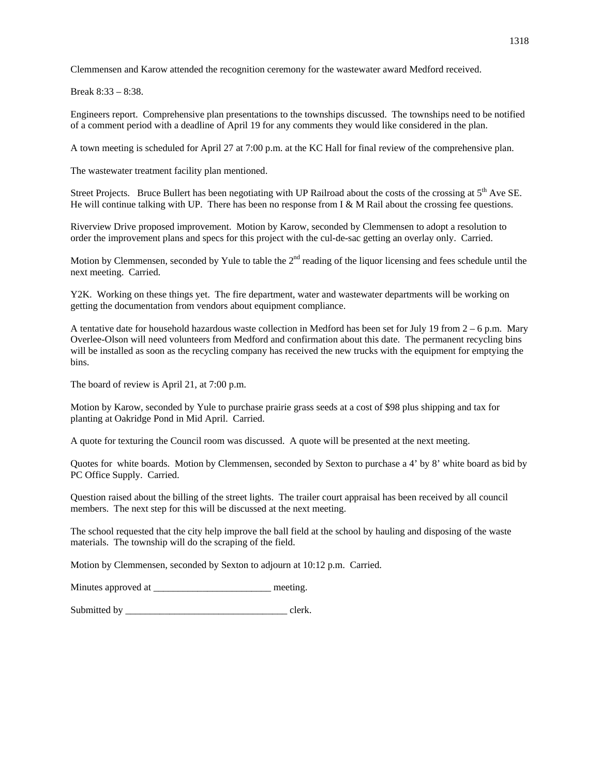Clemmensen and Karow attended the recognition ceremony for the wastewater award Medford received.

Break 8:33 – 8:38.

Engineers report. Comprehensive plan presentations to the townships discussed. The townships need to be notified of a comment period with a deadline of April 19 for any comments they would like considered in the plan.

A town meeting is scheduled for April 27 at 7:00 p.m. at the KC Hall for final review of the comprehensive plan.

The wastewater treatment facility plan mentioned.

Street Projects. Bruce Bullert has been negotiating with UP Railroad about the costs of the crossing at  $5<sup>th</sup>$  Ave SE. He will continue talking with UP. There has been no response from I & M Rail about the crossing fee questions.

Riverview Drive proposed improvement. Motion by Karow, seconded by Clemmensen to adopt a resolution to order the improvement plans and specs for this project with the cul-de-sac getting an overlay only. Carried.

Motion by Clemmensen, seconded by Yule to table the  $2<sup>nd</sup>$  reading of the liquor licensing and fees schedule until the next meeting. Carried.

Y2K. Working on these things yet. The fire department, water and wastewater departments will be working on getting the documentation from vendors about equipment compliance.

A tentative date for household hazardous waste collection in Medford has been set for July 19 from  $2 - 6$  p.m. Mary Overlee-Olson will need volunteers from Medford and confirmation about this date. The permanent recycling bins will be installed as soon as the recycling company has received the new trucks with the equipment for emptying the bins.

The board of review is April 21, at 7:00 p.m.

Motion by Karow, seconded by Yule to purchase prairie grass seeds at a cost of \$98 plus shipping and tax for planting at Oakridge Pond in Mid April. Carried.

A quote for texturing the Council room was discussed. A quote will be presented at the next meeting.

Quotes for white boards. Motion by Clemmensen, seconded by Sexton to purchase a 4' by 8' white board as bid by PC Office Supply. Carried.

Question raised about the billing of the street lights. The trailer court appraisal has been received by all council members. The next step for this will be discussed at the next meeting.

The school requested that the city help improve the ball field at the school by hauling and disposing of the waste materials. The township will do the scraping of the field.

Motion by Clemmensen, seconded by Sexton to adjourn at 10:12 p.m. Carried.

Minutes approved at \_\_\_\_\_\_\_\_\_\_\_\_\_\_\_\_\_\_\_\_\_\_\_\_\_\_\_\_\_ meeting.

Submitted by \_\_\_\_\_\_\_\_\_\_\_\_\_\_\_\_\_\_\_\_\_\_\_\_\_\_\_\_\_\_\_\_\_ clerk.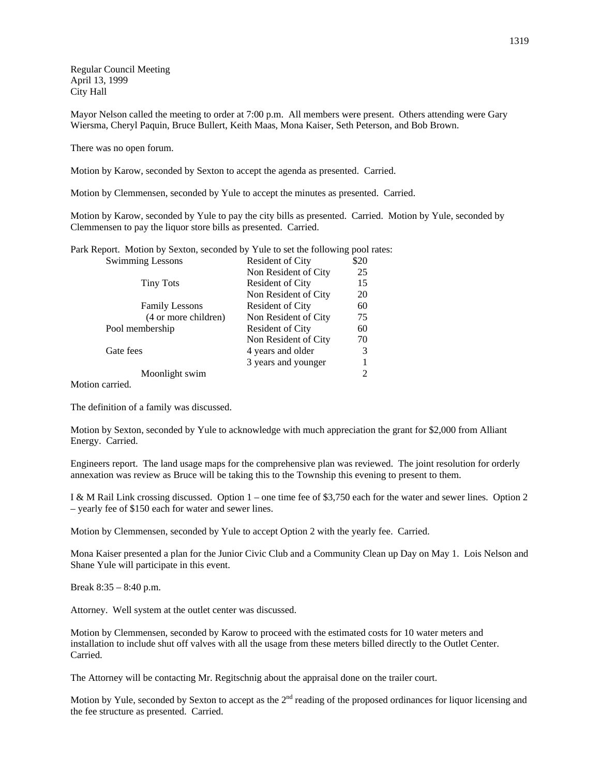Regular Council Meeting April 13, 1999 City Hall

Mayor Nelson called the meeting to order at 7:00 p.m. All members were present. Others attending were Gary Wiersma, Cheryl Paquin, Bruce Bullert, Keith Maas, Mona Kaiser, Seth Peterson, and Bob Brown.

There was no open forum.

Motion by Karow, seconded by Sexton to accept the agenda as presented. Carried.

Motion by Clemmensen, seconded by Yule to accept the minutes as presented. Carried.

Motion by Karow, seconded by Yule to pay the city bills as presented. Carried. Motion by Yule, seconded by Clemmensen to pay the liquor store bills as presented. Carried.

Park Report. Motion by Sexton, seconded by Yule to set the following pool rates:

| <b>Swimming Lessons</b> | Resident of City        | \$20 |
|-------------------------|-------------------------|------|
|                         | Non Resident of City    | 25   |
| <b>Tiny Tots</b>        | <b>Resident of City</b> | 15   |
|                         | Non Resident of City    | 20   |
| <b>Family Lessons</b>   | <b>Resident of City</b> | 60   |
| (4 or more children)    | Non Resident of City    | 75   |
| Pool membership         | <b>Resident of City</b> | 60   |
|                         | Non Resident of City    | 70   |
| Gate fees               | 4 years and older       | 3    |
|                         | 3 years and younger     |      |
| Moonlight swim          |                         | 2    |

Motion carried.

The definition of a family was discussed.

Motion by Sexton, seconded by Yule to acknowledge with much appreciation the grant for \$2,000 from Alliant Energy. Carried.

Engineers report. The land usage maps for the comprehensive plan was reviewed. The joint resolution for orderly annexation was review as Bruce will be taking this to the Township this evening to present to them.

I & M Rail Link crossing discussed. Option 1 – one time fee of \$3,750 each for the water and sewer lines. Option 2 – yearly fee of \$150 each for water and sewer lines.

Motion by Clemmensen, seconded by Yule to accept Option 2 with the yearly fee. Carried.

Mona Kaiser presented a plan for the Junior Civic Club and a Community Clean up Day on May 1. Lois Nelson and Shane Yule will participate in this event.

Break 8:35 – 8:40 p.m.

Attorney. Well system at the outlet center was discussed.

Motion by Clemmensen, seconded by Karow to proceed with the estimated costs for 10 water meters and installation to include shut off valves with all the usage from these meters billed directly to the Outlet Center. Carried.

The Attorney will be contacting Mr. Regitschnig about the appraisal done on the trailer court.

Motion by Yule, seconded by Sexton to accept as the 2<sup>nd</sup> reading of the proposed ordinances for liquor licensing and the fee structure as presented. Carried.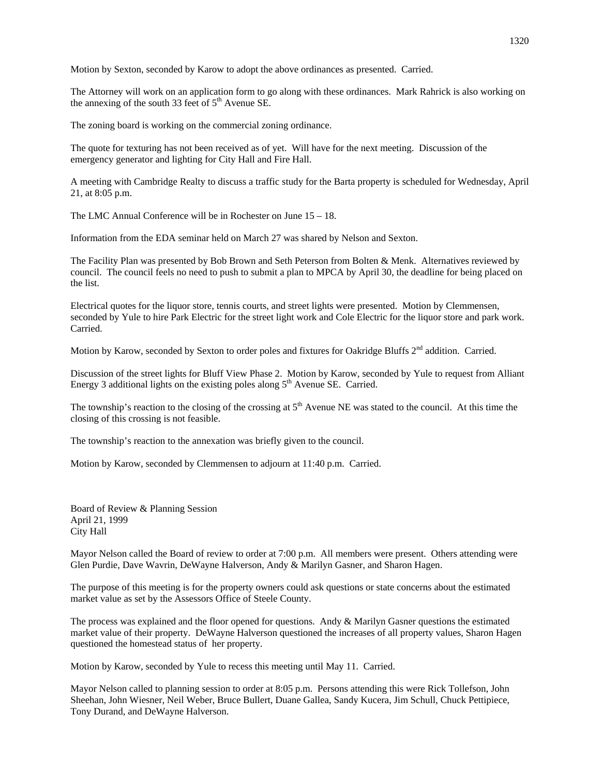Motion by Sexton, seconded by Karow to adopt the above ordinances as presented. Carried.

The Attorney will work on an application form to go along with these ordinances. Mark Rahrick is also working on the annexing of the south 33 feet of  $5<sup>th</sup>$  Avenue SE.

The zoning board is working on the commercial zoning ordinance.

The quote for texturing has not been received as of yet. Will have for the next meeting. Discussion of the emergency generator and lighting for City Hall and Fire Hall.

A meeting with Cambridge Realty to discuss a traffic study for the Barta property is scheduled for Wednesday, April 21, at 8:05 p.m.

The LMC Annual Conference will be in Rochester on June 15 – 18.

Information from the EDA seminar held on March 27 was shared by Nelson and Sexton.

The Facility Plan was presented by Bob Brown and Seth Peterson from Bolten & Menk. Alternatives reviewed by council. The council feels no need to push to submit a plan to MPCA by April 30, the deadline for being placed on the list.

Electrical quotes for the liquor store, tennis courts, and street lights were presented. Motion by Clemmensen, seconded by Yule to hire Park Electric for the street light work and Cole Electric for the liquor store and park work. Carried.

Motion by Karow, seconded by Sexton to order poles and fixtures for Oakridge Bluffs 2<sup>nd</sup> addition. Carried.

Discussion of the street lights for Bluff View Phase 2. Motion by Karow, seconded by Yule to request from Alliant Energy 3 additional lights on the existing poles along  $5<sup>th</sup>$  Avenue SE. Carried.

The township's reaction to the closing of the crossing at  $5<sup>th</sup>$  Avenue NE was stated to the council. At this time the closing of this crossing is not feasible.

The township's reaction to the annexation was briefly given to the council.

Motion by Karow, seconded by Clemmensen to adjourn at 11:40 p.m. Carried.

Board of Review & Planning Session April 21, 1999 City Hall

Mayor Nelson called the Board of review to order at 7:00 p.m. All members were present. Others attending were Glen Purdie, Dave Wavrin, DeWayne Halverson, Andy & Marilyn Gasner, and Sharon Hagen.

The purpose of this meeting is for the property owners could ask questions or state concerns about the estimated market value as set by the Assessors Office of Steele County.

The process was explained and the floor opened for questions. Andy & Marilyn Gasner questions the estimated market value of their property. DeWayne Halverson questioned the increases of all property values, Sharon Hagen questioned the homestead status of her property.

Motion by Karow, seconded by Yule to recess this meeting until May 11. Carried.

Mayor Nelson called to planning session to order at 8:05 p.m. Persons attending this were Rick Tollefson, John Sheehan, John Wiesner, Neil Weber, Bruce Bullert, Duane Gallea, Sandy Kucera, Jim Schull, Chuck Pettipiece, Tony Durand, and DeWayne Halverson.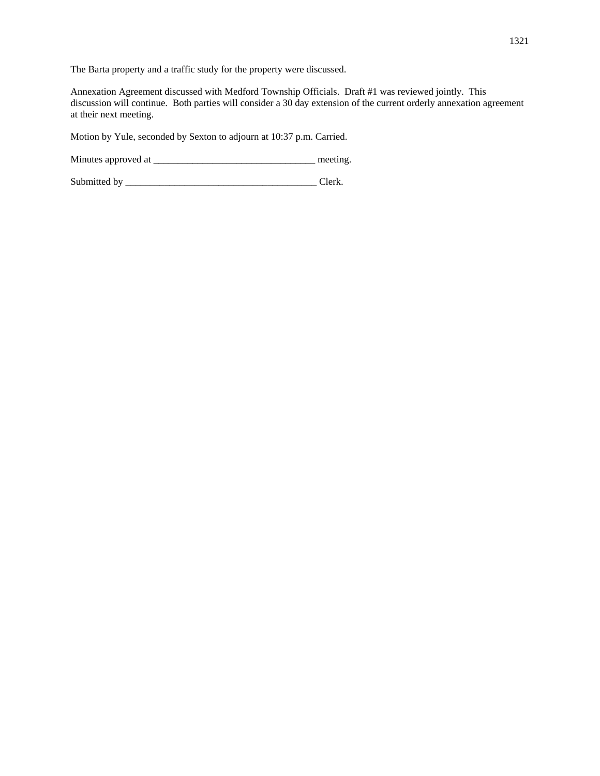The Barta property and a traffic study for the property were discussed.

Annexation Agreement discussed with Medford Township Officials. Draft #1 was reviewed jointly. This discussion will continue. Both parties will consider a 30 day extension of the current orderly annexation agreement at their next meeting.

Motion by Yule, seconded by Sexton to adjourn at 10:37 p.m. Carried.

Minutes approved at \_\_\_\_\_\_\_\_\_\_\_\_\_\_\_\_\_\_\_\_\_\_\_\_\_\_\_\_\_\_\_\_\_ meeting.

Submitted by \_\_\_\_\_\_\_\_\_\_\_\_\_\_\_\_\_\_\_\_\_\_\_\_\_\_\_\_\_\_\_\_\_\_\_\_\_\_\_ Clerk.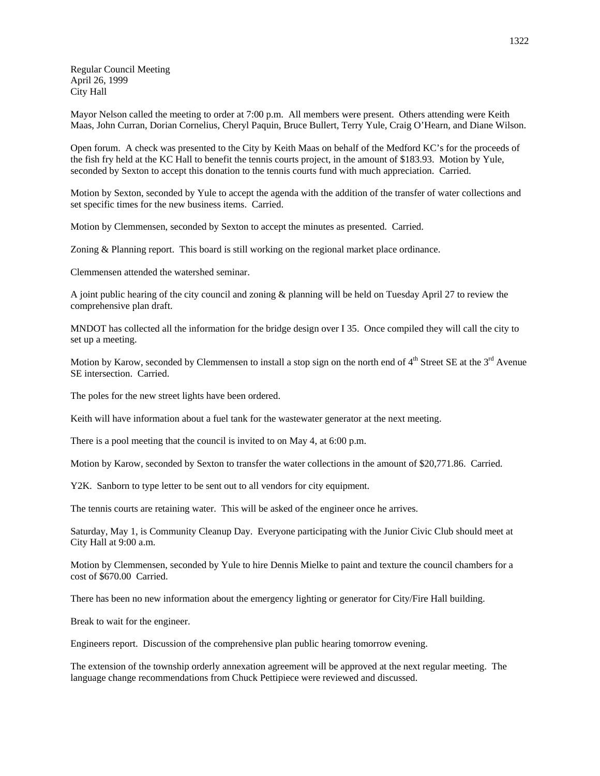Regular Council Meeting April 26, 1999 City Hall

Mayor Nelson called the meeting to order at 7:00 p.m. All members were present. Others attending were Keith Maas, John Curran, Dorian Cornelius, Cheryl Paquin, Bruce Bullert, Terry Yule, Craig O'Hearn, and Diane Wilson.

Open forum. A check was presented to the City by Keith Maas on behalf of the Medford KC's for the proceeds of the fish fry held at the KC Hall to benefit the tennis courts project, in the amount of \$183.93. Motion by Yule, seconded by Sexton to accept this donation to the tennis courts fund with much appreciation. Carried.

Motion by Sexton, seconded by Yule to accept the agenda with the addition of the transfer of water collections and set specific times for the new business items. Carried.

Motion by Clemmensen, seconded by Sexton to accept the minutes as presented. Carried.

Zoning & Planning report. This board is still working on the regional market place ordinance.

Clemmensen attended the watershed seminar.

A joint public hearing of the city council and zoning & planning will be held on Tuesday April 27 to review the comprehensive plan draft.

MNDOT has collected all the information for the bridge design over I 35. Once compiled they will call the city to set up a meeting.

Motion by Karow, seconded by Clemmensen to install a stop sign on the north end of  $4<sup>th</sup>$  Street SE at the  $3<sup>rd</sup>$  Avenue SE intersection. Carried.

The poles for the new street lights have been ordered.

Keith will have information about a fuel tank for the wastewater generator at the next meeting.

There is a pool meeting that the council is invited to on May 4, at 6:00 p.m.

Motion by Karow, seconded by Sexton to transfer the water collections in the amount of \$20,771.86. Carried.

Y2K. Sanborn to type letter to be sent out to all vendors for city equipment.

The tennis courts are retaining water. This will be asked of the engineer once he arrives.

Saturday, May 1, is Community Cleanup Day. Everyone participating with the Junior Civic Club should meet at City Hall at 9:00 a.m.

Motion by Clemmensen, seconded by Yule to hire Dennis Mielke to paint and texture the council chambers for a cost of \$670.00 Carried.

There has been no new information about the emergency lighting or generator for City/Fire Hall building.

Break to wait for the engineer.

Engineers report. Discussion of the comprehensive plan public hearing tomorrow evening.

The extension of the township orderly annexation agreement will be approved at the next regular meeting. The language change recommendations from Chuck Pettipiece were reviewed and discussed.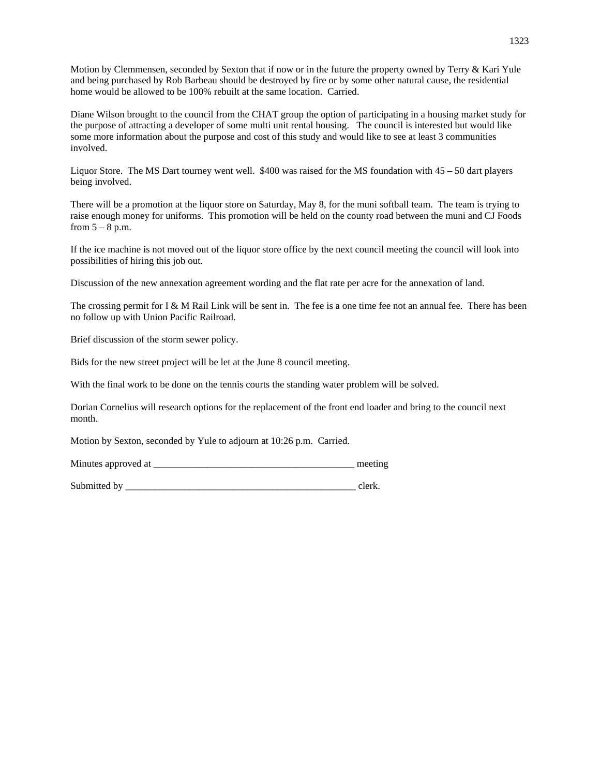Motion by Clemmensen, seconded by Sexton that if now or in the future the property owned by Terry & Kari Yule and being purchased by Rob Barbeau should be destroyed by fire or by some other natural cause, the residential home would be allowed to be 100% rebuilt at the same location. Carried.

Diane Wilson brought to the council from the CHAT group the option of participating in a housing market study for the purpose of attracting a developer of some multi unit rental housing. The council is interested but would like some more information about the purpose and cost of this study and would like to see at least 3 communities involved.

Liquor Store. The MS Dart tourney went well. \$400 was raised for the MS foundation with 45 – 50 dart players being involved.

There will be a promotion at the liquor store on Saturday, May 8, for the muni softball team. The team is trying to raise enough money for uniforms. This promotion will be held on the county road between the muni and CJ Foods from  $5 - 8$  p.m.

If the ice machine is not moved out of the liquor store office by the next council meeting the council will look into possibilities of hiring this job out.

Discussion of the new annexation agreement wording and the flat rate per acre for the annexation of land.

The crossing permit for I & M Rail Link will be sent in. The fee is a one time fee not an annual fee. There has been no follow up with Union Pacific Railroad.

Brief discussion of the storm sewer policy.

Bids for the new street project will be let at the June 8 council meeting.

With the final work to be done on the tennis courts the standing water problem will be solved.

Dorian Cornelius will research options for the replacement of the front end loader and bring to the council next month.

Motion by Sexton, seconded by Yule to adjourn at 10:26 p.m. Carried.

Minutes approved at \_\_\_\_\_\_\_\_\_\_\_\_\_\_\_\_\_\_\_\_\_\_\_\_\_\_\_\_\_\_\_\_\_\_\_\_\_\_\_\_\_ meeting

Submitted by elerk.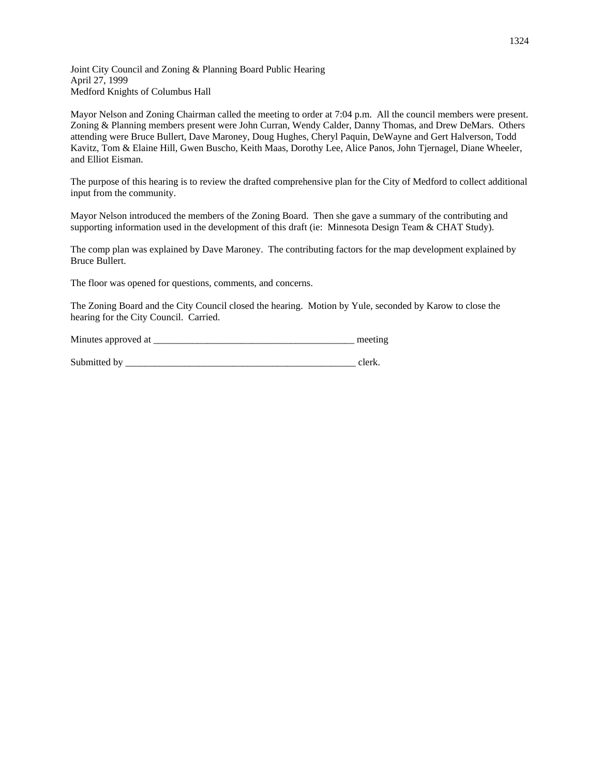Joint City Council and Zoning & Planning Board Public Hearing April 27, 1999 Medford Knights of Columbus Hall

Mayor Nelson and Zoning Chairman called the meeting to order at 7:04 p.m. All the council members were present. Zoning & Planning members present were John Curran, Wendy Calder, Danny Thomas, and Drew DeMars. Others attending were Bruce Bullert, Dave Maroney, Doug Hughes, Cheryl Paquin, DeWayne and Gert Halverson, Todd Kavitz, Tom & Elaine Hill, Gwen Buscho, Keith Maas, Dorothy Lee, Alice Panos, John Tjernagel, Diane Wheeler, and Elliot Eisman.

The purpose of this hearing is to review the drafted comprehensive plan for the City of Medford to collect additional input from the community.

Mayor Nelson introduced the members of the Zoning Board. Then she gave a summary of the contributing and supporting information used in the development of this draft (ie: Minnesota Design Team & CHAT Study).

The comp plan was explained by Dave Maroney. The contributing factors for the map development explained by Bruce Bullert.

The floor was opened for questions, comments, and concerns.

The Zoning Board and the City Council closed the hearing. Motion by Yule, seconded by Karow to close the hearing for the City Council. Carried.

Minutes approved at \_\_\_\_\_\_\_\_\_\_\_\_\_\_\_\_\_\_\_\_\_\_\_\_\_\_\_\_\_\_\_\_\_\_\_\_\_\_\_\_\_ meeting

Submitted by \_\_\_\_\_\_\_\_\_\_\_\_\_\_\_\_\_\_\_\_\_\_\_\_\_\_\_\_\_\_\_\_\_\_\_\_\_\_\_\_\_\_\_\_\_\_\_ clerk.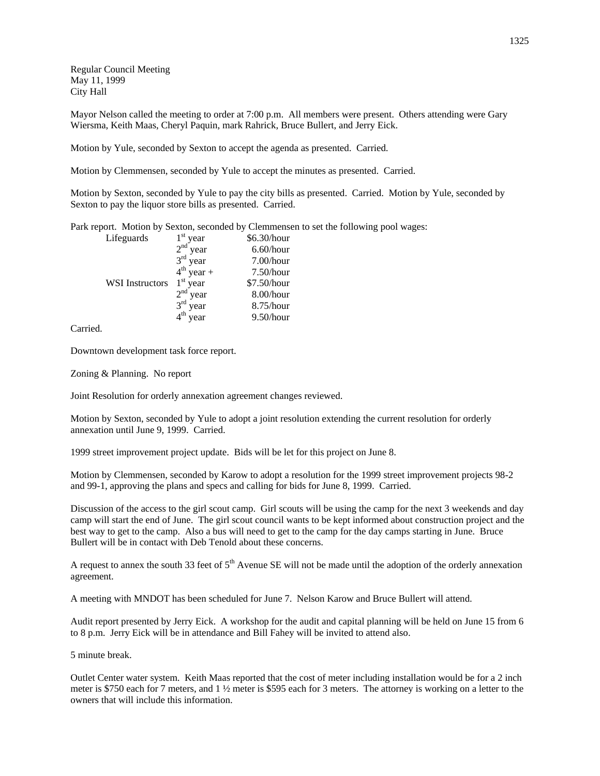Regular Council Meeting May 11, 1999 City Hall

Mayor Nelson called the meeting to order at 7:00 p.m. All members were present. Others attending were Gary Wiersma, Keith Maas, Cheryl Paquin, mark Rahrick, Bruce Bullert, and Jerry Eick.

Motion by Yule, seconded by Sexton to accept the agenda as presented. Carried.

Motion by Clemmensen, seconded by Yule to accept the minutes as presented. Carried.

Motion by Sexton, seconded by Yule to pay the city bills as presented. Carried. Motion by Yule, seconded by Sexton to pay the liquor store bills as presented. Carried.

Park report. Motion by Sexton, seconded by Clemmensen to set the following pool wages:

| $1st$ year | \$6.30/hour                                                             |
|------------|-------------------------------------------------------------------------|
| $2nd$ year | 6.60/hour                                                               |
|            | $7.00/h$ our                                                            |
|            | $7.50/h$ our                                                            |
| $1st$ year | \$7.50/hour                                                             |
|            | $8.00/h$ our                                                            |
|            | 8.75/hour                                                               |
|            | 9.50/hour                                                               |
|            | $3rd$ year<br>$4^{th}$ year +<br>$2nd$ year<br>$3rd$ year<br>$4th$ year |

Carried.

Downtown development task force report.

Zoning & Planning. No report

Joint Resolution for orderly annexation agreement changes reviewed.

Motion by Sexton, seconded by Yule to adopt a joint resolution extending the current resolution for orderly annexation until June 9, 1999. Carried.

1999 street improvement project update. Bids will be let for this project on June 8.

Motion by Clemmensen, seconded by Karow to adopt a resolution for the 1999 street improvement projects 98-2 and 99-1, approving the plans and specs and calling for bids for June 8, 1999. Carried.

Discussion of the access to the girl scout camp. Girl scouts will be using the camp for the next 3 weekends and day camp will start the end of June. The girl scout council wants to be kept informed about construction project and the best way to get to the camp. Also a bus will need to get to the camp for the day camps starting in June. Bruce Bullert will be in contact with Deb Tenold about these concerns.

A request to annex the south 33 feet of  $5<sup>th</sup>$  Avenue SE will not be made until the adoption of the orderly annexation agreement.

A meeting with MNDOT has been scheduled for June 7. Nelson Karow and Bruce Bullert will attend.

Audit report presented by Jerry Eick. A workshop for the audit and capital planning will be held on June 15 from 6 to 8 p.m. Jerry Eick will be in attendance and Bill Fahey will be invited to attend also.

5 minute break.

Outlet Center water system. Keith Maas reported that the cost of meter including installation would be for a 2 inch meter is \$750 each for 7 meters, and 1 ½ meter is \$595 each for 3 meters. The attorney is working on a letter to the owners that will include this information.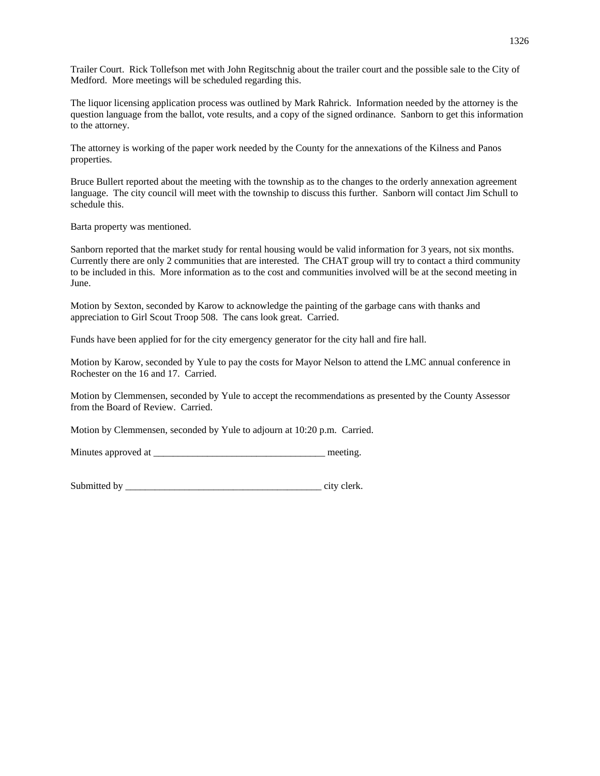Trailer Court. Rick Tollefson met with John Regitschnig about the trailer court and the possible sale to the City of Medford. More meetings will be scheduled regarding this.

The liquor licensing application process was outlined by Mark Rahrick. Information needed by the attorney is the question language from the ballot, vote results, and a copy of the signed ordinance. Sanborn to get this information to the attorney.

The attorney is working of the paper work needed by the County for the annexations of the Kilness and Panos properties.

Bruce Bullert reported about the meeting with the township as to the changes to the orderly annexation agreement language. The city council will meet with the township to discuss this further. Sanborn will contact Jim Schull to schedule this.

Barta property was mentioned.

Sanborn reported that the market study for rental housing would be valid information for 3 years, not six months. Currently there are only 2 communities that are interested. The CHAT group will try to contact a third community to be included in this. More information as to the cost and communities involved will be at the second meeting in June.

Motion by Sexton, seconded by Karow to acknowledge the painting of the garbage cans with thanks and appreciation to Girl Scout Troop 508. The cans look great. Carried.

Funds have been applied for for the city emergency generator for the city hall and fire hall.

Motion by Karow, seconded by Yule to pay the costs for Mayor Nelson to attend the LMC annual conference in Rochester on the 16 and 17. Carried.

Motion by Clemmensen, seconded by Yule to accept the recommendations as presented by the County Assessor from the Board of Review. Carried.

Motion by Clemmensen, seconded by Yule to adjourn at 10:20 p.m. Carried.

Minutes approved at  $\blacksquare$ 

Submitted by \_\_\_\_\_\_\_\_\_\_\_\_\_\_\_\_\_\_\_\_\_\_\_\_\_\_\_\_\_\_\_\_\_\_\_\_\_\_\_\_ city clerk.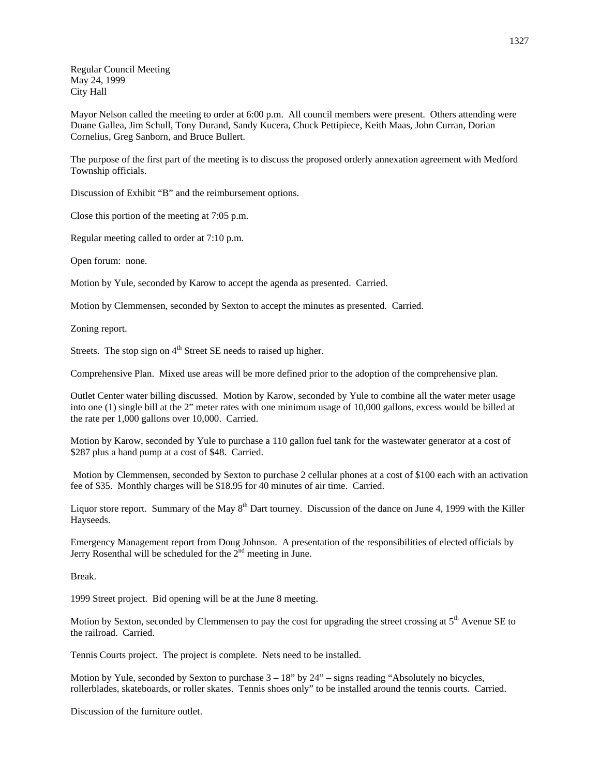Regular Council Meeting May 24, 1999 City Hall

Mayor Nelson called the meeting to order at 6:00 p.m. All council members were present. Others attending were Duane Gallea, Jim Schull, Tony Durand, Sandy Kucera, Chuck Pettipiece, Keith Maas, John Curran, Dorian Cornelius, Greg Sanborn, and Bruce Bullert.

The purpose of the first part of the meeting is to discuss the proposed orderly annexation agreement with Medford Township officials.

Discussion of Exhibit "B" and the reimbursement options.

Close this portion of the meeting at 7:05 p.m.

Regular meeting called to order at 7:10 p.m.

Open forum: none.

Motion by Yule, seconded by Karow to accept the agenda as presented. Carried.

Motion by Clemmensen, seconded by Sexton to accept the minutes as presented. Carried.

Zoning report.

Streets. The stop sign on  $4<sup>th</sup>$  Street SE needs to raised up higher.

Comprehensive Plan. Mixed use areas will be more defined prior to the adoption of the comprehensive plan.

Outlet Center water billing discussed. Motion by Karow, seconded by Yule to combine all the water meter usage into one (1) single bill at the 2" meter rates with one minimum usage of 10,000 gallons, excess would be billed at the rate per 1,000 gallons over 10,000. Carried.

Motion by Karow, seconded by Yule to purchase a 110 gallon fuel tank for the wastewater generator at a cost of \$287 plus a hand pump at a cost of \$48. Carried.

 Motion by Clemmensen, seconded by Sexton to purchase 2 cellular phones at a cost of \$100 each with an activation fee of \$35. Monthly charges will be \$18.95 for 40 minutes of air time. Carried.

Liquor store report. Summary of the May 8<sup>th</sup> Dart tourney. Discussion of the dance on June 4, 1999 with the Killer Hayseeds.

Emergency Management report from Doug Johnson. A presentation of the responsibilities of elected officials by Jerry Rosenthal will be scheduled for the  $2<sup>nd</sup>$  meeting in June.

Break.

1999 Street project. Bid opening will be at the June 8 meeting.

Motion by Sexton, seconded by Clemmensen to pay the cost for upgrading the street crossing at  $5<sup>th</sup>$  Avenue SE to the railroad. Carried.

Tennis Courts project. The project is complete. Nets need to be installed.

Motion by Yule, seconded by Sexton to purchase  $3 - 18$ " by  $24$ " – signs reading "Absolutely no bicycles, rollerblades, skateboards, or roller skates. Tennis shoes only" to be installed around the tennis courts. Carried.

Discussion of the furniture outlet.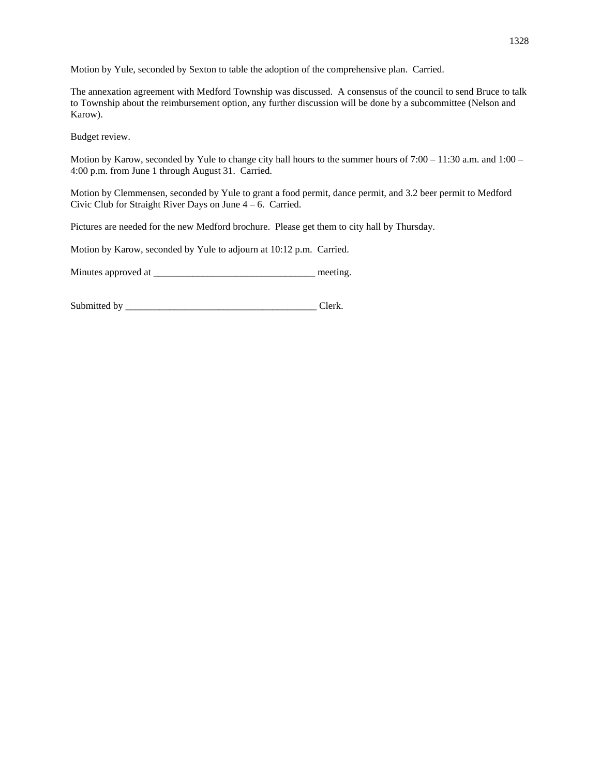Motion by Yule, seconded by Sexton to table the adoption of the comprehensive plan. Carried.

The annexation agreement with Medford Township was discussed. A consensus of the council to send Bruce to talk to Township about the reimbursement option, any further discussion will be done by a subcommittee (Nelson and Karow).

Budget review.

Motion by Karow, seconded by Yule to change city hall hours to the summer hours of  $7:00 - 11:30$  a.m. and  $1:00 -$ 4:00 p.m. from June 1 through August 31. Carried.

Motion by Clemmensen, seconded by Yule to grant a food permit, dance permit, and 3.2 beer permit to Medford Civic Club for Straight River Days on June 4 – 6. Carried.

Pictures are needed for the new Medford brochure. Please get them to city hall by Thursday.

Motion by Karow, seconded by Yule to adjourn at 10:12 p.m. Carried.

Minutes approved at \_\_\_\_\_\_\_\_\_\_\_\_\_\_\_\_\_\_\_\_\_\_\_\_\_\_\_\_\_\_\_\_\_ meeting.

Submitted by \_\_\_\_\_\_\_\_\_\_\_\_\_\_\_\_\_\_\_\_\_\_\_\_\_\_\_\_\_\_\_\_\_\_\_\_\_\_\_ Clerk.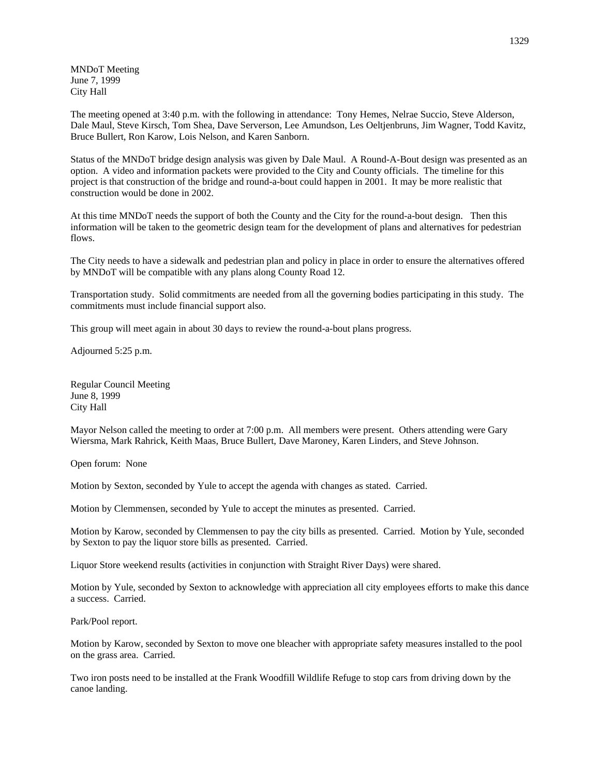MNDoT Meeting June 7, 1999 City Hall

The meeting opened at 3:40 p.m. with the following in attendance: Tony Hemes, Nelrae Succio, Steve Alderson, Dale Maul, Steve Kirsch, Tom Shea, Dave Serverson, Lee Amundson, Les Oeltjenbruns, Jim Wagner, Todd Kavitz, Bruce Bullert, Ron Karow, Lois Nelson, and Karen Sanborn.

Status of the MNDoT bridge design analysis was given by Dale Maul. A Round-A-Bout design was presented as an option. A video and information packets were provided to the City and County officials. The timeline for this project is that construction of the bridge and round-a-bout could happen in 2001. It may be more realistic that construction would be done in 2002.

At this time MNDoT needs the support of both the County and the City for the round-a-bout design. Then this information will be taken to the geometric design team for the development of plans and alternatives for pedestrian flows.

The City needs to have a sidewalk and pedestrian plan and policy in place in order to ensure the alternatives offered by MNDoT will be compatible with any plans along County Road 12.

Transportation study. Solid commitments are needed from all the governing bodies participating in this study. The commitments must include financial support also.

This group will meet again in about 30 days to review the round-a-bout plans progress.

Adjourned 5:25 p.m.

Regular Council Meeting June 8, 1999 City Hall

Mayor Nelson called the meeting to order at 7:00 p.m. All members were present. Others attending were Gary Wiersma, Mark Rahrick, Keith Maas, Bruce Bullert, Dave Maroney, Karen Linders, and Steve Johnson.

Open forum: None

Motion by Sexton, seconded by Yule to accept the agenda with changes as stated. Carried.

Motion by Clemmensen, seconded by Yule to accept the minutes as presented. Carried.

Motion by Karow, seconded by Clemmensen to pay the city bills as presented. Carried. Motion by Yule, seconded by Sexton to pay the liquor store bills as presented. Carried.

Liquor Store weekend results (activities in conjunction with Straight River Days) were shared.

Motion by Yule, seconded by Sexton to acknowledge with appreciation all city employees efforts to make this dance a success. Carried.

Park/Pool report.

Motion by Karow, seconded by Sexton to move one bleacher with appropriate safety measures installed to the pool on the grass area. Carried.

Two iron posts need to be installed at the Frank Woodfill Wildlife Refuge to stop cars from driving down by the canoe landing.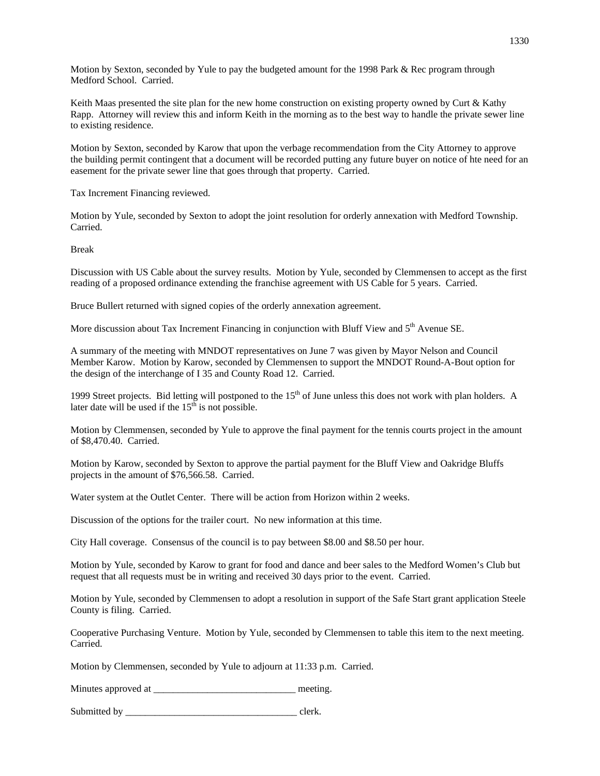Motion by Sexton, seconded by Yule to pay the budgeted amount for the 1998 Park & Rec program through Medford School. Carried.

Keith Maas presented the site plan for the new home construction on existing property owned by Curt & Kathy Rapp. Attorney will review this and inform Keith in the morning as to the best way to handle the private sewer line to existing residence.

Motion by Sexton, seconded by Karow that upon the verbage recommendation from the City Attorney to approve the building permit contingent that a document will be recorded putting any future buyer on notice of hte need for an easement for the private sewer line that goes through that property. Carried.

Tax Increment Financing reviewed.

Motion by Yule, seconded by Sexton to adopt the joint resolution for orderly annexation with Medford Township. Carried.

Break

Discussion with US Cable about the survey results. Motion by Yule, seconded by Clemmensen to accept as the first reading of a proposed ordinance extending the franchise agreement with US Cable for 5 years. Carried.

Bruce Bullert returned with signed copies of the orderly annexation agreement.

More discussion about Tax Increment Financing in conjunction with Bluff View and 5<sup>th</sup> Avenue SE.

A summary of the meeting with MNDOT representatives on June 7 was given by Mayor Nelson and Council Member Karow. Motion by Karow, seconded by Clemmensen to support the MNDOT Round-A-Bout option for the design of the interchange of I 35 and County Road 12. Carried.

1999 Street projects. Bid letting will postponed to the  $15<sup>th</sup>$  of June unless this does not work with plan holders. A later date will be used if the  $15<sup>th</sup>$  is not possible.

Motion by Clemmensen, seconded by Yule to approve the final payment for the tennis courts project in the amount of \$8,470.40. Carried.

Motion by Karow, seconded by Sexton to approve the partial payment for the Bluff View and Oakridge Bluffs projects in the amount of \$76,566.58. Carried.

Water system at the Outlet Center. There will be action from Horizon within 2 weeks.

Discussion of the options for the trailer court. No new information at this time.

City Hall coverage. Consensus of the council is to pay between \$8.00 and \$8.50 per hour.

Motion by Yule, seconded by Karow to grant for food and dance and beer sales to the Medford Women's Club but request that all requests must be in writing and received 30 days prior to the event. Carried.

Motion by Yule, seconded by Clemmensen to adopt a resolution in support of the Safe Start grant application Steele County is filing. Carried.

Cooperative Purchasing Venture. Motion by Yule, seconded by Clemmensen to table this item to the next meeting. Carried.

Motion by Clemmensen, seconded by Yule to adjourn at 11:33 p.m. Carried.

Minutes approved at \_\_\_\_\_\_\_\_\_\_\_\_\_\_\_\_\_\_\_\_\_\_\_\_\_\_\_\_\_ meeting.

Submitted by \_\_\_\_\_\_\_\_\_\_\_\_\_\_\_\_\_\_\_\_\_\_\_\_\_\_\_\_\_\_\_\_\_\_\_ clerk.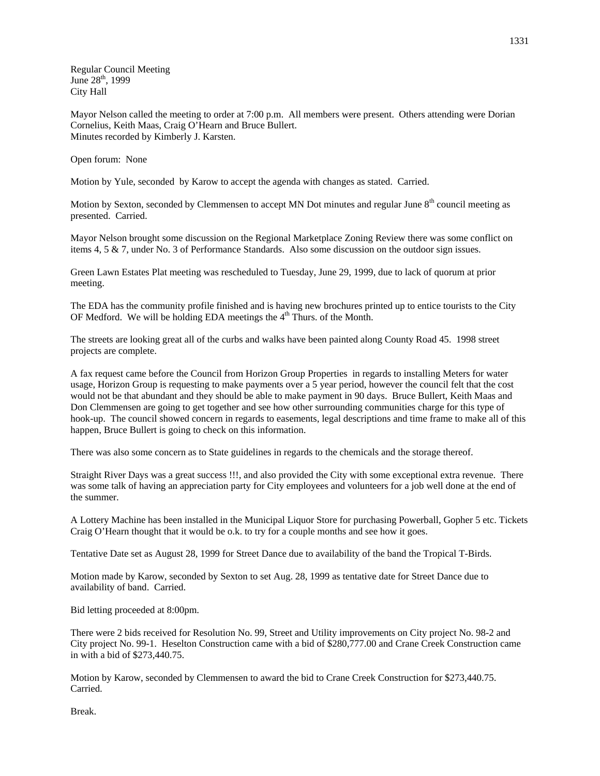Regular Council Meeting June  $28^{th}$ , 1999 City Hall

Mayor Nelson called the meeting to order at 7:00 p.m. All members were present. Others attending were Dorian Cornelius, Keith Maas, Craig O'Hearn and Bruce Bullert. Minutes recorded by Kimberly J. Karsten.

Open forum: None

Motion by Yule, seconded by Karow to accept the agenda with changes as stated. Carried.

Motion by Sexton, seconded by Clemmensen to accept MN Dot minutes and regular June 8<sup>th</sup> council meeting as presented. Carried.

Mayor Nelson brought some discussion on the Regional Marketplace Zoning Review there was some conflict on items 4, 5 & 7, under No. 3 of Performance Standards. Also some discussion on the outdoor sign issues.

Green Lawn Estates Plat meeting was rescheduled to Tuesday, June 29, 1999, due to lack of quorum at prior meeting.

The EDA has the community profile finished and is having new brochures printed up to entice tourists to the City OF Medford. We will be holding EDA meetings the  $4<sup>th</sup>$  Thurs. of the Month.

The streets are looking great all of the curbs and walks have been painted along County Road 45. 1998 street projects are complete.

A fax request came before the Council from Horizon Group Properties in regards to installing Meters for water usage, Horizon Group is requesting to make payments over a 5 year period, however the council felt that the cost would not be that abundant and they should be able to make payment in 90 days. Bruce Bullert, Keith Maas and Don Clemmensen are going to get together and see how other surrounding communities charge for this type of hook-up. The council showed concern in regards to easements, legal descriptions and time frame to make all of this happen, Bruce Bullert is going to check on this information.

There was also some concern as to State guidelines in regards to the chemicals and the storage thereof.

Straight River Days was a great success !!!, and also provided the City with some exceptional extra revenue. There was some talk of having an appreciation party for City employees and volunteers for a job well done at the end of the summer.

A Lottery Machine has been installed in the Municipal Liquor Store for purchasing Powerball, Gopher 5 etc. Tickets Craig O'Hearn thought that it would be o.k. to try for a couple months and see how it goes.

Tentative Date set as August 28, 1999 for Street Dance due to availability of the band the Tropical T-Birds.

Motion made by Karow, seconded by Sexton to set Aug. 28, 1999 as tentative date for Street Dance due to availability of band. Carried.

Bid letting proceeded at 8:00pm.

There were 2 bids received for Resolution No. 99, Street and Utility improvements on City project No. 98-2 and City project No. 99-1. Heselton Construction came with a bid of \$280,777.00 and Crane Creek Construction came in with a bid of \$273,440.75.

Motion by Karow, seconded by Clemmensen to award the bid to Crane Creek Construction for \$273,440.75. Carried.

Break.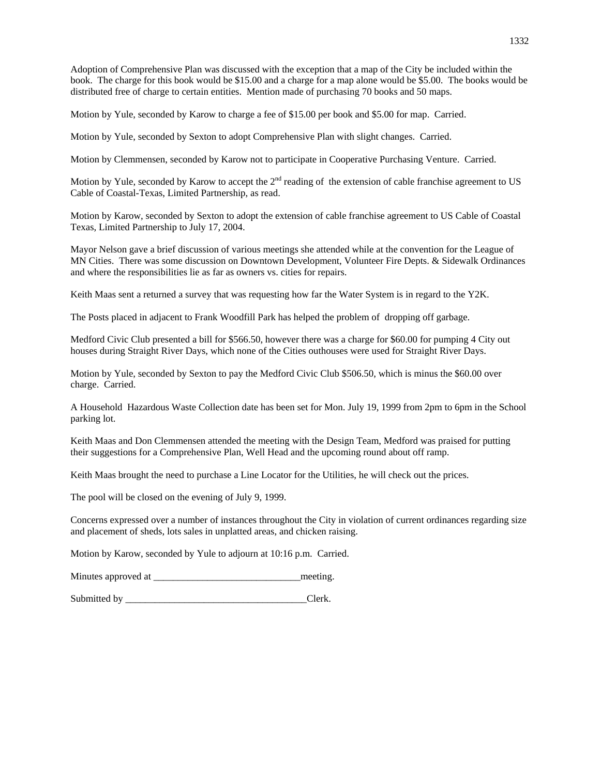Adoption of Comprehensive Plan was discussed with the exception that a map of the City be included within the book. The charge for this book would be \$15.00 and a charge for a map alone would be \$5.00. The books would be distributed free of charge to certain entities. Mention made of purchasing 70 books and 50 maps.

Motion by Yule, seconded by Karow to charge a fee of \$15.00 per book and \$5.00 for map. Carried.

Motion by Yule, seconded by Sexton to adopt Comprehensive Plan with slight changes. Carried.

Motion by Clemmensen, seconded by Karow not to participate in Cooperative Purchasing Venture. Carried.

Motion by Yule, seconded by Karow to accept the  $2<sup>nd</sup>$  reading of the extension of cable franchise agreement to US Cable of Coastal-Texas, Limited Partnership, as read.

Motion by Karow, seconded by Sexton to adopt the extension of cable franchise agreement to US Cable of Coastal Texas, Limited Partnership to July 17, 2004.

Mayor Nelson gave a brief discussion of various meetings she attended while at the convention for the League of MN Cities. There was some discussion on Downtown Development, Volunteer Fire Depts. & Sidewalk Ordinances and where the responsibilities lie as far as owners vs. cities for repairs.

Keith Maas sent a returned a survey that was requesting how far the Water System is in regard to the Y2K.

The Posts placed in adjacent to Frank Woodfill Park has helped the problem of dropping off garbage.

Medford Civic Club presented a bill for \$566.50, however there was a charge for \$60.00 for pumping 4 City out houses during Straight River Days, which none of the Cities outhouses were used for Straight River Days.

Motion by Yule, seconded by Sexton to pay the Medford Civic Club \$506.50, which is minus the \$60.00 over charge. Carried.

A Household Hazardous Waste Collection date has been set for Mon. July 19, 1999 from 2pm to 6pm in the School parking lot.

Keith Maas and Don Clemmensen attended the meeting with the Design Team, Medford was praised for putting their suggestions for a Comprehensive Plan, Well Head and the upcoming round about off ramp.

Keith Maas brought the need to purchase a Line Locator for the Utilities, he will check out the prices.

The pool will be closed on the evening of July 9, 1999.

Concerns expressed over a number of instances throughout the City in violation of current ordinances regarding size and placement of sheds, lots sales in unplatted areas, and chicken raising.

Motion by Karow, seconded by Yule to adjourn at 10:16 p.m. Carried.

Minutes approved at \_\_\_\_\_\_\_\_\_\_\_\_\_\_\_\_\_\_\_\_\_\_\_\_\_\_\_\_\_\_meeting.

Submitted by \_\_\_\_\_\_\_\_\_\_\_\_\_\_\_\_\_\_\_\_\_\_\_\_\_\_\_\_\_\_\_\_\_\_\_\_\_Clerk.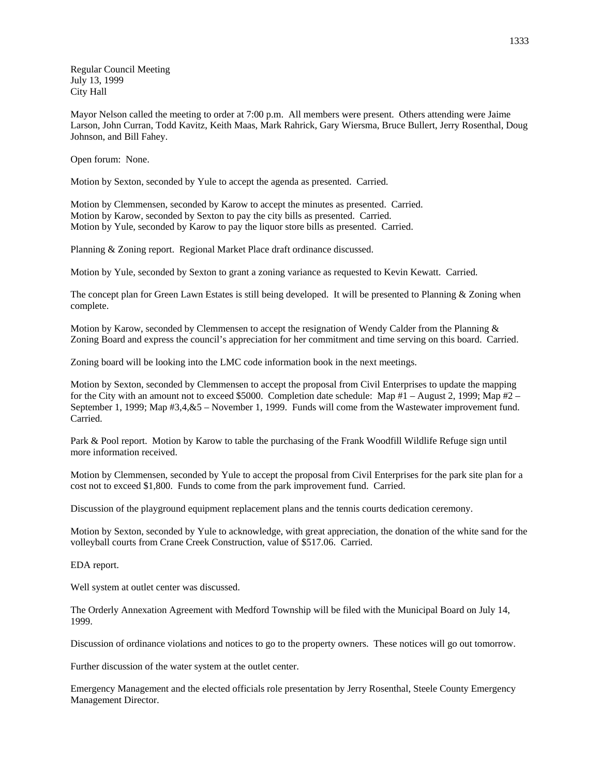Regular Council Meeting July 13, 1999 City Hall

Mayor Nelson called the meeting to order at 7:00 p.m. All members were present. Others attending were Jaime Larson, John Curran, Todd Kavitz, Keith Maas, Mark Rahrick, Gary Wiersma, Bruce Bullert, Jerry Rosenthal, Doug Johnson, and Bill Fahey.

Open forum: None.

Motion by Sexton, seconded by Yule to accept the agenda as presented. Carried.

Motion by Clemmensen, seconded by Karow to accept the minutes as presented. Carried. Motion by Karow, seconded by Sexton to pay the city bills as presented. Carried. Motion by Yule, seconded by Karow to pay the liquor store bills as presented. Carried.

Planning & Zoning report. Regional Market Place draft ordinance discussed.

Motion by Yule, seconded by Sexton to grant a zoning variance as requested to Kevin Kewatt. Carried.

The concept plan for Green Lawn Estates is still being developed. It will be presented to Planning & Zoning when complete.

Motion by Karow, seconded by Clemmensen to accept the resignation of Wendy Calder from the Planning & Zoning Board and express the council's appreciation for her commitment and time serving on this board. Carried.

Zoning board will be looking into the LMC code information book in the next meetings.

Motion by Sexton, seconded by Clemmensen to accept the proposal from Civil Enterprises to update the mapping for the City with an amount not to exceed \$5000. Completion date schedule: Map  $#1 -$ August 2, 1999; Map  $#2 -$ September 1, 1999; Map #3,4,&5 – November 1, 1999. Funds will come from the Wastewater improvement fund. Carried.

Park & Pool report. Motion by Karow to table the purchasing of the Frank Woodfill Wildlife Refuge sign until more information received.

Motion by Clemmensen, seconded by Yule to accept the proposal from Civil Enterprises for the park site plan for a cost not to exceed \$1,800. Funds to come from the park improvement fund. Carried.

Discussion of the playground equipment replacement plans and the tennis courts dedication ceremony.

Motion by Sexton, seconded by Yule to acknowledge, with great appreciation, the donation of the white sand for the volleyball courts from Crane Creek Construction, value of \$517.06. Carried.

EDA report.

Well system at outlet center was discussed.

The Orderly Annexation Agreement with Medford Township will be filed with the Municipal Board on July 14, 1999.

Discussion of ordinance violations and notices to go to the property owners. These notices will go out tomorrow.

Further discussion of the water system at the outlet center.

Emergency Management and the elected officials role presentation by Jerry Rosenthal, Steele County Emergency Management Director.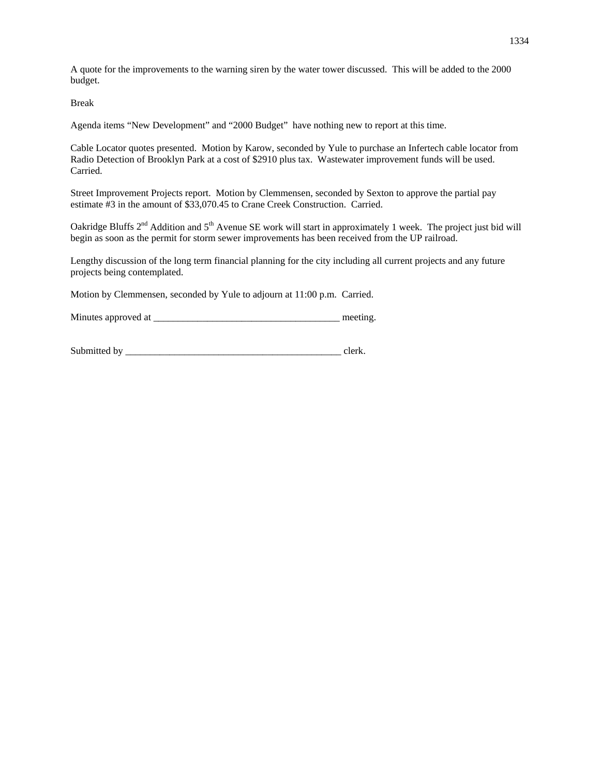A quote for the improvements to the warning siren by the water tower discussed. This will be added to the 2000 budget.

Break

Agenda items "New Development" and "2000 Budget" have nothing new to report at this time.

Cable Locator quotes presented. Motion by Karow, seconded by Yule to purchase an Infertech cable locator from Radio Detection of Brooklyn Park at a cost of \$2910 plus tax. Wastewater improvement funds will be used. Carried.

Street Improvement Projects report. Motion by Clemmensen, seconded by Sexton to approve the partial pay estimate #3 in the amount of \$33,070.45 to Crane Creek Construction. Carried.

Oakridge Bluffs  $2<sup>nd</sup>$  Addition and  $5<sup>th</sup>$  Avenue SE work will start in approximately 1 week. The project just bid will begin as soon as the permit for storm sewer improvements has been received from the UP railroad.

Lengthy discussion of the long term financial planning for the city including all current projects and any future projects being contemplated.

Motion by Clemmensen, seconded by Yule to adjourn at 11:00 p.m. Carried.

Minutes approved at \_\_\_\_\_\_\_\_\_\_\_\_\_\_\_\_\_\_\_\_\_\_\_\_\_\_\_\_\_\_\_\_\_\_\_\_\_\_ meeting.

| Submitted by |  |
|--------------|--|
|--------------|--|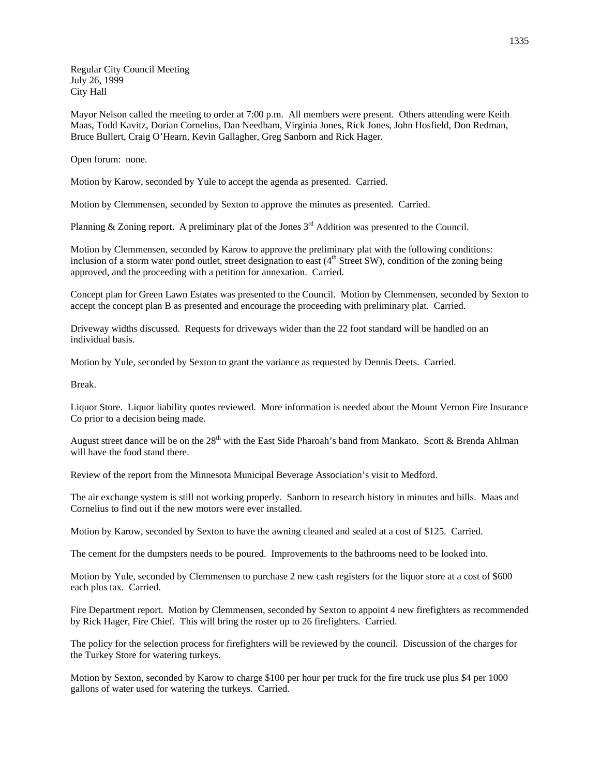Regular City Council Meeting July 26, 1999 City Hall

Mayor Nelson called the meeting to order at 7:00 p.m. All members were present. Others attending were Keith Maas, Todd Kavitz, Dorian Cornelius, Dan Needham, Virginia Jones, Rick Jones, John Hosfield, Don Redman, Bruce Bullert, Craig O'Hearn, Kevin Gallagher, Greg Sanborn and Rick Hager.

Open forum: none.

Motion by Karow, seconded by Yule to accept the agenda as presented. Carried.

Motion by Clemmensen, seconded by Sexton to approve the minutes as presented. Carried.

Planning & Zoning report. A preliminary plat of the Jones  $3<sup>rd</sup>$  Addition was presented to the Council.

Motion by Clemmensen, seconded by Karow to approve the preliminary plat with the following conditions: inclusion of a storm water pond outlet, street designation to east  $(4<sup>th</sup> Street SW)$ , condition of the zoning being approved, and the proceeding with a petition for annexation. Carried.

Concept plan for Green Lawn Estates was presented to the Council. Motion by Clemmensen, seconded by Sexton to accept the concept plan B as presented and encourage the proceeding with preliminary plat. Carried.

Driveway widths discussed. Requests for driveways wider than the 22 foot standard will be handled on an individual basis.

Motion by Yule, seconded by Sexton to grant the variance as requested by Dennis Deets. Carried.

Break.

Liquor Store. Liquor liability quotes reviewed. More information is needed about the Mount Vernon Fire Insurance Co prior to a decision being made.

August street dance will be on the  $28<sup>th</sup>$  with the East Side Pharoah's band from Mankato. Scott & Brenda Ahlman will have the food stand there.

Review of the report from the Minnesota Municipal Beverage Association's visit to Medford.

The air exchange system is still not working properly. Sanborn to research history in minutes and bills. Maas and Cornelius to find out if the new motors were ever installed.

Motion by Karow, seconded by Sexton to have the awning cleaned and sealed at a cost of \$125. Carried.

The cement for the dumpsters needs to be poured. Improvements to the bathrooms need to be looked into.

Motion by Yule, seconded by Clemmensen to purchase 2 new cash registers for the liquor store at a cost of \$600 each plus tax. Carried.

Fire Department report. Motion by Clemmensen, seconded by Sexton to appoint 4 new firefighters as recommended by Rick Hager, Fire Chief. This will bring the roster up to 26 firefighters. Carried.

The policy for the selection process for firefighters will be reviewed by the council. Discussion of the charges for the Turkey Store for watering turkeys.

Motion by Sexton, seconded by Karow to charge \$100 per hour per truck for the fire truck use plus \$4 per 1000 gallons of water used for watering the turkeys. Carried.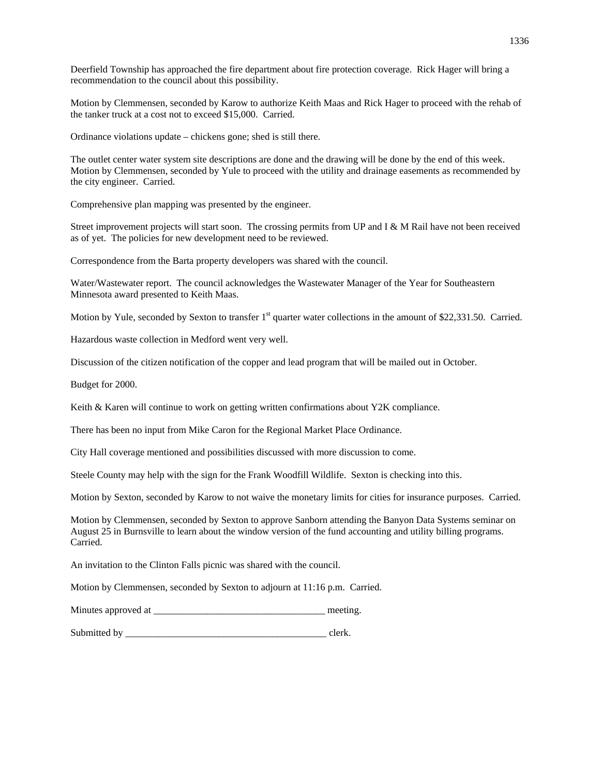Deerfield Township has approached the fire department about fire protection coverage. Rick Hager will bring a recommendation to the council about this possibility.

Motion by Clemmensen, seconded by Karow to authorize Keith Maas and Rick Hager to proceed with the rehab of the tanker truck at a cost not to exceed \$15,000. Carried.

Ordinance violations update – chickens gone; shed is still there.

The outlet center water system site descriptions are done and the drawing will be done by the end of this week. Motion by Clemmensen, seconded by Yule to proceed with the utility and drainage easements as recommended by the city engineer. Carried.

Comprehensive plan mapping was presented by the engineer.

Street improvement projects will start soon. The crossing permits from UP and I & M Rail have not been received as of yet. The policies for new development need to be reviewed.

Correspondence from the Barta property developers was shared with the council.

Water/Wastewater report. The council acknowledges the Wastewater Manager of the Year for Southeastern Minnesota award presented to Keith Maas.

Motion by Yule, seconded by Sexton to transfer 1<sup>st</sup> quarter water collections in the amount of \$22,331.50. Carried.

Hazardous waste collection in Medford went very well.

Discussion of the citizen notification of the copper and lead program that will be mailed out in October.

Budget for 2000.

Keith & Karen will continue to work on getting written confirmations about Y2K compliance.

There has been no input from Mike Caron for the Regional Market Place Ordinance.

City Hall coverage mentioned and possibilities discussed with more discussion to come.

Steele County may help with the sign for the Frank Woodfill Wildlife. Sexton is checking into this.

Motion by Sexton, seconded by Karow to not waive the monetary limits for cities for insurance purposes. Carried.

Motion by Clemmensen, seconded by Sexton to approve Sanborn attending the Banyon Data Systems seminar on August 25 in Burnsville to learn about the window version of the fund accounting and utility billing programs. Carried.

An invitation to the Clinton Falls picnic was shared with the council.

Motion by Clemmensen, seconded by Sexton to adjourn at 11:16 p.m. Carried.

Minutes approved at \_\_\_\_\_\_\_\_\_\_\_\_\_\_\_\_\_\_\_\_\_\_\_\_\_\_\_\_\_\_\_\_\_\_\_ meeting.

Submitted by example of the state of the state of the state of the state of the state of the state of the state of the state of the state of the state of the state of the state of the state of the state of the state of the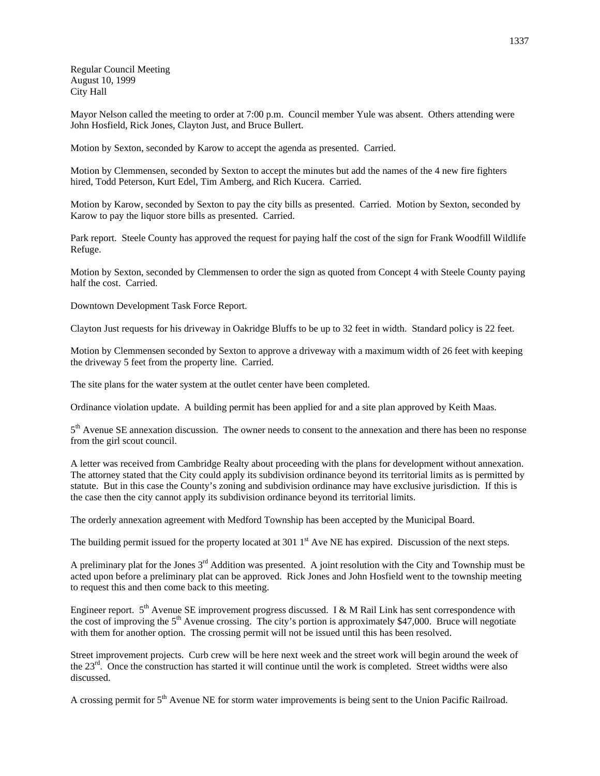Regular Council Meeting August 10, 1999 City Hall

Mayor Nelson called the meeting to order at 7:00 p.m. Council member Yule was absent. Others attending were John Hosfield, Rick Jones, Clayton Just, and Bruce Bullert.

Motion by Sexton, seconded by Karow to accept the agenda as presented. Carried.

Motion by Clemmensen, seconded by Sexton to accept the minutes but add the names of the 4 new fire fighters hired, Todd Peterson, Kurt Edel, Tim Amberg, and Rich Kucera. Carried.

Motion by Karow, seconded by Sexton to pay the city bills as presented. Carried. Motion by Sexton, seconded by Karow to pay the liquor store bills as presented. Carried.

Park report. Steele County has approved the request for paying half the cost of the sign for Frank Woodfill Wildlife Refuge.

Motion by Sexton, seconded by Clemmensen to order the sign as quoted from Concept 4 with Steele County paying half the cost. Carried.

Downtown Development Task Force Report.

Clayton Just requests for his driveway in Oakridge Bluffs to be up to 32 feet in width. Standard policy is 22 feet.

Motion by Clemmensen seconded by Sexton to approve a driveway with a maximum width of 26 feet with keeping the driveway 5 feet from the property line. Carried.

The site plans for the water system at the outlet center have been completed.

Ordinance violation update. A building permit has been applied for and a site plan approved by Keith Maas.

 $5<sup>th</sup>$  Avenue SE annexation discussion. The owner needs to consent to the annexation and there has been no response from the girl scout council.

A letter was received from Cambridge Realty about proceeding with the plans for development without annexation. The attorney stated that the City could apply its subdivision ordinance beyond its territorial limits as is permitted by statute. But in this case the County's zoning and subdivision ordinance may have exclusive jurisdiction. If this is the case then the city cannot apply its subdivision ordinance beyond its territorial limits.

The orderly annexation agreement with Medford Township has been accepted by the Municipal Board.

The building permit issued for the property located at  $3011<sup>st</sup>$  Ave NE has expired. Discussion of the next steps.

A preliminary plat for the Jones 3rd Addition was presented. A joint resolution with the City and Township must be acted upon before a preliminary plat can be approved. Rick Jones and John Hosfield went to the township meeting to request this and then come back to this meeting.

Engineer report.  $5<sup>th</sup>$  Avenue SE improvement progress discussed. I & M Rail Link has sent correspondence with the cost of improving the 5<sup>th</sup> Avenue crossing. The city's portion is approximately \$47,000. Bruce will negotiate with them for another option. The crossing permit will not be issued until this has been resolved.

Street improvement projects. Curb crew will be here next week and the street work will begin around the week of the  $23<sup>rd</sup>$ . Once the construction has started it will continue until the work is completed. Street widths were also discussed.

A crossing permit for 5<sup>th</sup> Avenue NE for storm water improvements is being sent to the Union Pacific Railroad.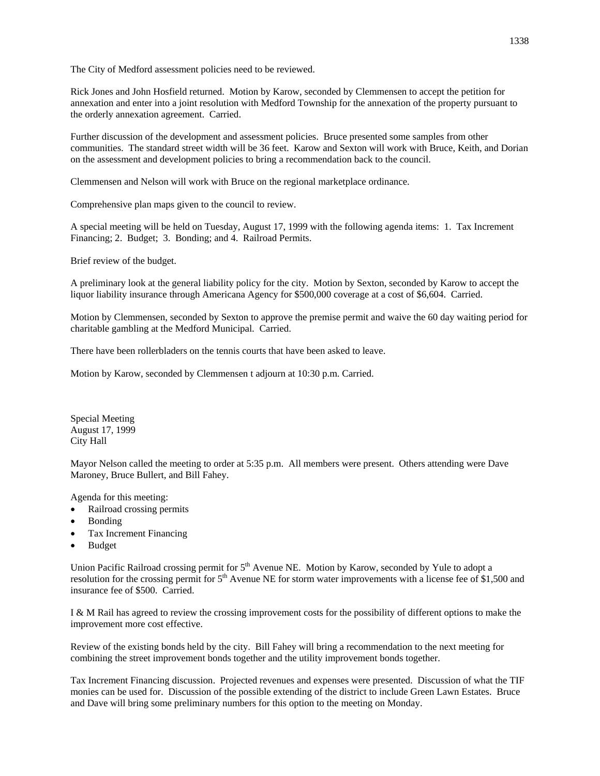The City of Medford assessment policies need to be reviewed.

Rick Jones and John Hosfield returned. Motion by Karow, seconded by Clemmensen to accept the petition for annexation and enter into a joint resolution with Medford Township for the annexation of the property pursuant to the orderly annexation agreement. Carried.

Further discussion of the development and assessment policies. Bruce presented some samples from other communities. The standard street width will be 36 feet. Karow and Sexton will work with Bruce, Keith, and Dorian on the assessment and development policies to bring a recommendation back to the council.

Clemmensen and Nelson will work with Bruce on the regional marketplace ordinance.

Comprehensive plan maps given to the council to review.

A special meeting will be held on Tuesday, August 17, 1999 with the following agenda items: 1. Tax Increment Financing; 2. Budget; 3. Bonding; and 4. Railroad Permits.

Brief review of the budget.

A preliminary look at the general liability policy for the city. Motion by Sexton, seconded by Karow to accept the liquor liability insurance through Americana Agency for \$500,000 coverage at a cost of \$6,604. Carried.

Motion by Clemmensen, seconded by Sexton to approve the premise permit and waive the 60 day waiting period for charitable gambling at the Medford Municipal. Carried.

There have been rollerbladers on the tennis courts that have been asked to leave.

Motion by Karow, seconded by Clemmensen t adjourn at 10:30 p.m. Carried.

Special Meeting August 17, 1999 City Hall

Mayor Nelson called the meeting to order at 5:35 p.m. All members were present. Others attending were Dave Maroney, Bruce Bullert, and Bill Fahey.

Agenda for this meeting:

- Railroad crossing permits
- Bonding
- Tax Increment Financing
- Budget

Union Pacific Railroad crossing permit for  $5<sup>th</sup>$  Avenue NE. Motion by Karow, seconded by Yule to adopt a resolution for the crossing permit for 5<sup>th</sup> Avenue NE for storm water improvements with a license fee of \$1,500 and insurance fee of \$500. Carried.

I & M Rail has agreed to review the crossing improvement costs for the possibility of different options to make the improvement more cost effective.

Review of the existing bonds held by the city. Bill Fahey will bring a recommendation to the next meeting for combining the street improvement bonds together and the utility improvement bonds together.

Tax Increment Financing discussion. Projected revenues and expenses were presented. Discussion of what the TIF monies can be used for. Discussion of the possible extending of the district to include Green Lawn Estates. Bruce and Dave will bring some preliminary numbers for this option to the meeting on Monday.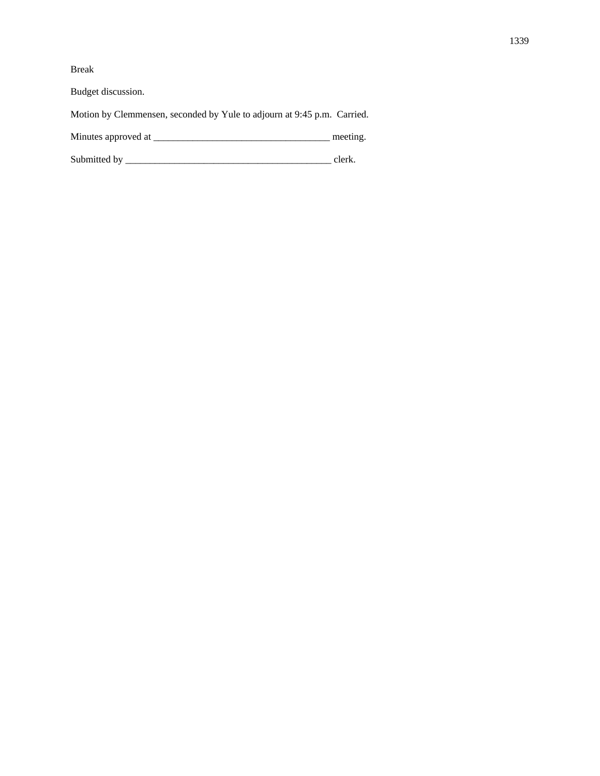Break

Budget discussion.

Motion by Clemmensen, seconded by Yule to adjourn at 9:45 p.m. Carried.

Minutes approved at \_\_\_\_\_\_\_\_\_\_\_\_\_\_\_\_\_\_\_\_\_\_\_\_\_\_\_\_\_\_\_\_\_\_\_\_ meeting.

Submitted by \_\_\_\_\_\_\_\_\_\_\_\_\_\_\_\_\_\_\_\_\_\_\_\_\_\_\_\_\_\_\_\_\_\_\_\_\_\_\_\_\_\_ clerk.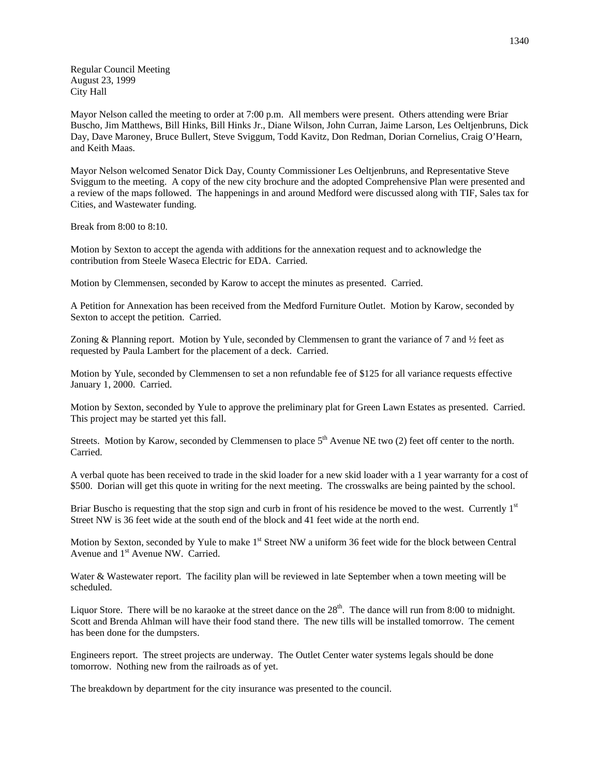Regular Council Meeting August 23, 1999 City Hall

Mayor Nelson called the meeting to order at 7:00 p.m. All members were present. Others attending were Briar Buscho, Jim Matthews, Bill Hinks, Bill Hinks Jr., Diane Wilson, John Curran, Jaime Larson, Les Oeltjenbruns, Dick Day, Dave Maroney, Bruce Bullert, Steve Sviggum, Todd Kavitz, Don Redman, Dorian Cornelius, Craig O'Hearn, and Keith Maas.

Mayor Nelson welcomed Senator Dick Day, County Commissioner Les Oeltjenbruns, and Representative Steve Sviggum to the meeting. A copy of the new city brochure and the adopted Comprehensive Plan were presented and a review of the maps followed. The happenings in and around Medford were discussed along with TIF, Sales tax for Cities, and Wastewater funding.

Break from 8:00 to 8:10.

Motion by Sexton to accept the agenda with additions for the annexation request and to acknowledge the contribution from Steele Waseca Electric for EDA. Carried.

Motion by Clemmensen, seconded by Karow to accept the minutes as presented. Carried.

A Petition for Annexation has been received from the Medford Furniture Outlet. Motion by Karow, seconded by Sexton to accept the petition. Carried.

Zoning & Planning report. Motion by Yule, seconded by Clemmensen to grant the variance of 7 and ½ feet as requested by Paula Lambert for the placement of a deck. Carried.

Motion by Yule, seconded by Clemmensen to set a non refundable fee of \$125 for all variance requests effective January 1, 2000. Carried.

Motion by Sexton, seconded by Yule to approve the preliminary plat for Green Lawn Estates as presented. Carried. This project may be started yet this fall.

Streets. Motion by Karow, seconded by Clemmensen to place  $5<sup>th</sup>$  Avenue NE two (2) feet off center to the north. Carried.

A verbal quote has been received to trade in the skid loader for a new skid loader with a 1 year warranty for a cost of \$500. Dorian will get this quote in writing for the next meeting. The crosswalks are being painted by the school.

Briar Buscho is requesting that the stop sign and curb in front of his residence be moved to the west. Currently 1<sup>st</sup> Street NW is 36 feet wide at the south end of the block and 41 feet wide at the north end.

Motion by Sexton, seconded by Yule to make 1<sup>st</sup> Street NW a uniform 36 feet wide for the block between Central Avenue and 1<sup>st</sup> Avenue NW. Carried.

Water & Wastewater report. The facility plan will be reviewed in late September when a town meeting will be scheduled.

Liquor Store. There will be no karaoke at the street dance on the  $28<sup>th</sup>$ . The dance will run from 8:00 to midnight. Scott and Brenda Ahlman will have their food stand there. The new tills will be installed tomorrow. The cement has been done for the dumpsters.

Engineers report. The street projects are underway. The Outlet Center water systems legals should be done tomorrow. Nothing new from the railroads as of yet.

The breakdown by department for the city insurance was presented to the council.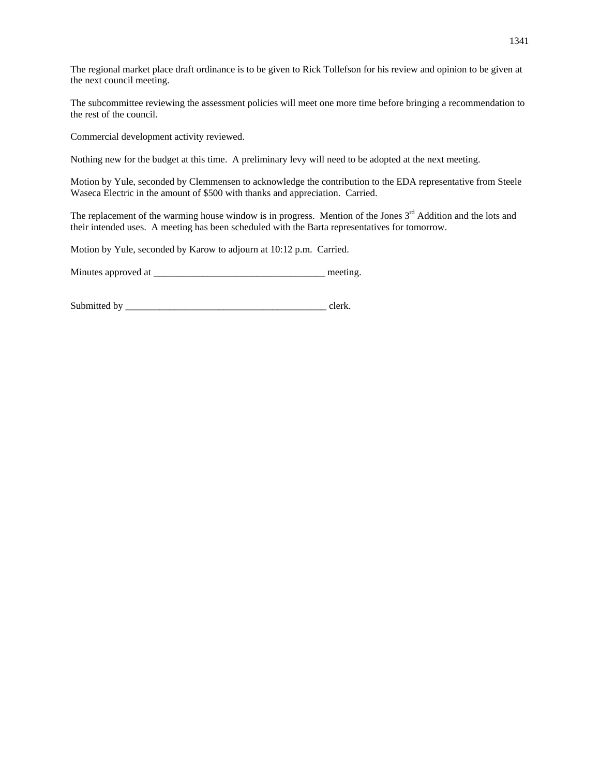The regional market place draft ordinance is to be given to Rick Tollefson for his review and opinion to be given at the next council meeting.

The subcommittee reviewing the assessment policies will meet one more time before bringing a recommendation to the rest of the council.

Commercial development activity reviewed.

Nothing new for the budget at this time. A preliminary levy will need to be adopted at the next meeting.

Motion by Yule, seconded by Clemmensen to acknowledge the contribution to the EDA representative from Steele Waseca Electric in the amount of \$500 with thanks and appreciation. Carried.

The replacement of the warming house window is in progress. Mention of the Jones 3<sup>rd</sup> Addition and the lots and their intended uses. A meeting has been scheduled with the Barta representatives for tomorrow.

Motion by Yule, seconded by Karow to adjourn at 10:12 p.m. Carried.

Minutes approved at \_\_\_\_\_\_\_\_\_\_\_\_\_\_\_\_\_\_\_\_\_\_\_\_\_\_\_\_\_\_\_\_\_\_\_ meeting.

Submitted by \_\_\_\_\_\_\_\_\_\_\_\_\_\_\_\_\_\_\_\_\_\_\_\_\_\_\_\_\_\_\_\_\_\_\_\_\_\_\_\_\_ clerk.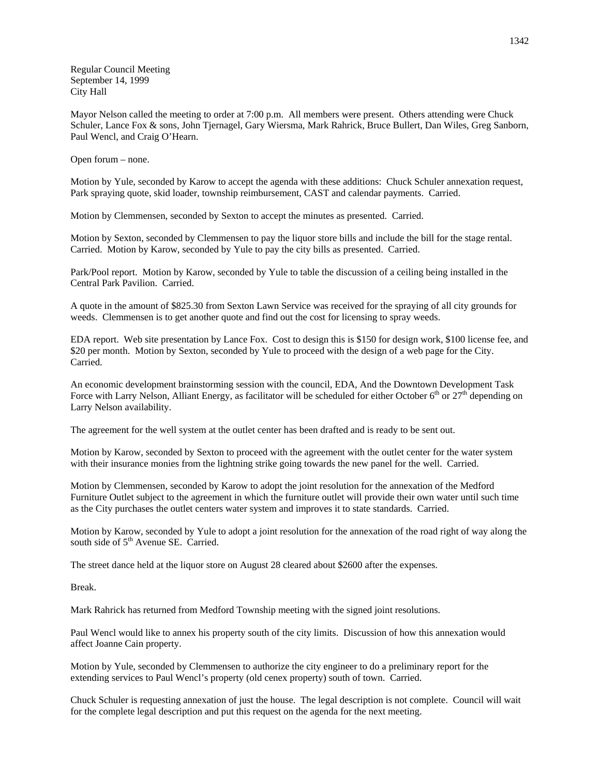Regular Council Meeting September 14, 1999 City Hall

Mayor Nelson called the meeting to order at 7:00 p.m. All members were present. Others attending were Chuck Schuler, Lance Fox & sons, John Tjernagel, Gary Wiersma, Mark Rahrick, Bruce Bullert, Dan Wiles, Greg Sanborn, Paul Wencl, and Craig O'Hearn.

Open forum – none.

Motion by Yule, seconded by Karow to accept the agenda with these additions: Chuck Schuler annexation request, Park spraying quote, skid loader, township reimbursement, CAST and calendar payments. Carried.

Motion by Clemmensen, seconded by Sexton to accept the minutes as presented. Carried.

Motion by Sexton, seconded by Clemmensen to pay the liquor store bills and include the bill for the stage rental. Carried. Motion by Karow, seconded by Yule to pay the city bills as presented. Carried.

Park/Pool report. Motion by Karow, seconded by Yule to table the discussion of a ceiling being installed in the Central Park Pavilion. Carried.

A quote in the amount of \$825.30 from Sexton Lawn Service was received for the spraying of all city grounds for weeds. Clemmensen is to get another quote and find out the cost for licensing to spray weeds.

EDA report. Web site presentation by Lance Fox. Cost to design this is \$150 for design work, \$100 license fee, and \$20 per month. Motion by Sexton, seconded by Yule to proceed with the design of a web page for the City. Carried.

An economic development brainstorming session with the council, EDA, And the Downtown Development Task Force with Larry Nelson, Alliant Energy, as facilitator will be scheduled for either October  $6<sup>th</sup>$  or  $27<sup>th</sup>$  depending on Larry Nelson availability.

The agreement for the well system at the outlet center has been drafted and is ready to be sent out.

Motion by Karow, seconded by Sexton to proceed with the agreement with the outlet center for the water system with their insurance monies from the lightning strike going towards the new panel for the well. Carried.

Motion by Clemmensen, seconded by Karow to adopt the joint resolution for the annexation of the Medford Furniture Outlet subject to the agreement in which the furniture outlet will provide their own water until such time as the City purchases the outlet centers water system and improves it to state standards. Carried.

Motion by Karow, seconded by Yule to adopt a joint resolution for the annexation of the road right of way along the south side of 5<sup>th</sup> Avenue SE. Carried.

The street dance held at the liquor store on August 28 cleared about \$2600 after the expenses.

Break.

Mark Rahrick has returned from Medford Township meeting with the signed joint resolutions.

Paul Wencl would like to annex his property south of the city limits. Discussion of how this annexation would affect Joanne Cain property.

Motion by Yule, seconded by Clemmensen to authorize the city engineer to do a preliminary report for the extending services to Paul Wencl's property (old cenex property) south of town. Carried.

Chuck Schuler is requesting annexation of just the house. The legal description is not complete. Council will wait for the complete legal description and put this request on the agenda for the next meeting.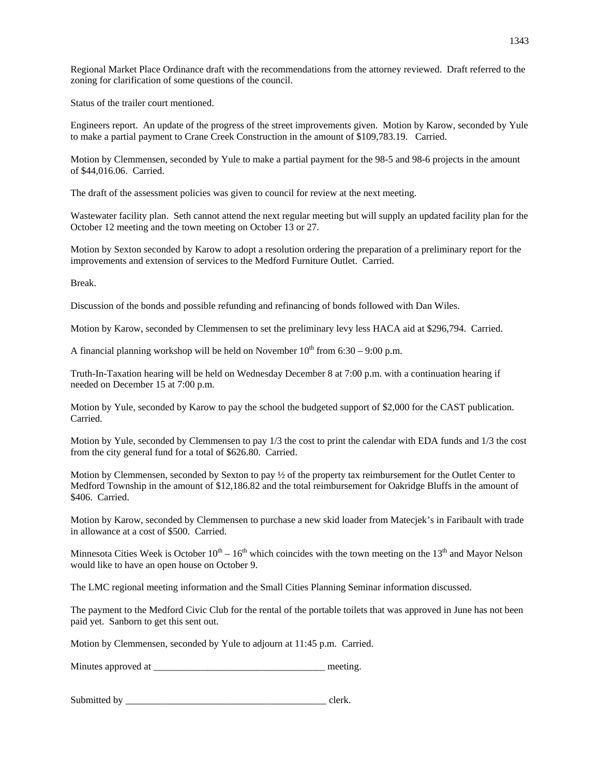Regional Market Place Ordinance draft with the recommendations from the attorney reviewed. Draft referred to the zoning for clarification of some questions of the council.

Status of the trailer court mentioned.

Engineers report. An update of the progress of the street improvements given. Motion by Karow, seconded by Yule to make a partial payment to Crane Creek Construction in the amount of \$109,783.19. Carried.

Motion by Clemmensen, seconded by Yule to make a partial payment for the 98-5 and 98-6 projects in the amount of \$44,016.06. Carried.

The draft of the assessment policies was given to council for review at the next meeting.

Wastewater facility plan. Seth cannot attend the next regular meeting but will supply an updated facility plan for the October 12 meeting and the town meeting on October 13 or 27.

Motion by Sexton seconded by Karow to adopt a resolution ordering the preparation of a preliminary report for the improvements and extension of services to the Medford Furniture Outlet. Carried.

Break.

Discussion of the bonds and possible refunding and refinancing of bonds followed with Dan Wiles.

Motion by Karow, seconded by Clemmensen to set the preliminary levy less HACA aid at \$296,794. Carried.

A financial planning workshop will be held on November  $10^{th}$  from 6:30 – 9:00 p.m.

Truth-In-Taxation hearing will be held on Wednesday December 8 at 7:00 p.m. with a continuation hearing if needed on December 15 at 7:00 p.m.

Motion by Yule, seconded by Karow to pay the school the budgeted support of \$2,000 for the CAST publication. Carried.

Motion by Yule, seconded by Clemmensen to pay 1/3 the cost to print the calendar with EDA funds and 1/3 the cost from the city general fund for a total of \$626.80. Carried.

Motion by Clemmensen, seconded by Sexton to pay ½ of the property tax reimbursement for the Outlet Center to Medford Township in the amount of \$12,186.82 and the total reimbursement for Oakridge Bluffs in the amount of \$406. Carried.

Motion by Karow, seconded by Clemmensen to purchase a new skid loader from Matecjek's in Faribault with trade in allowance at a cost of \$500. Carried.

Minnesota Cities Week is October  $10^{th} - 16^{th}$  which coincides with the town meeting on the  $13^{th}$  and Mayor Nelson would like to have an open house on October 9.

The LMC regional meeting information and the Small Cities Planning Seminar information discussed.

The payment to the Medford Civic Club for the rental of the portable toilets that was approved in June has not been paid yet. Sanborn to get this sent out.

Motion by Clemmensen, seconded by Yule to adjourn at 11:45 p.m. Carried.

Minutes approved at  $\blacksquare$ 

Submitted by \_\_\_\_\_\_\_\_\_\_\_\_\_\_\_\_\_\_\_\_\_\_\_\_\_\_\_\_\_\_\_\_\_\_\_\_\_\_\_\_\_ clerk.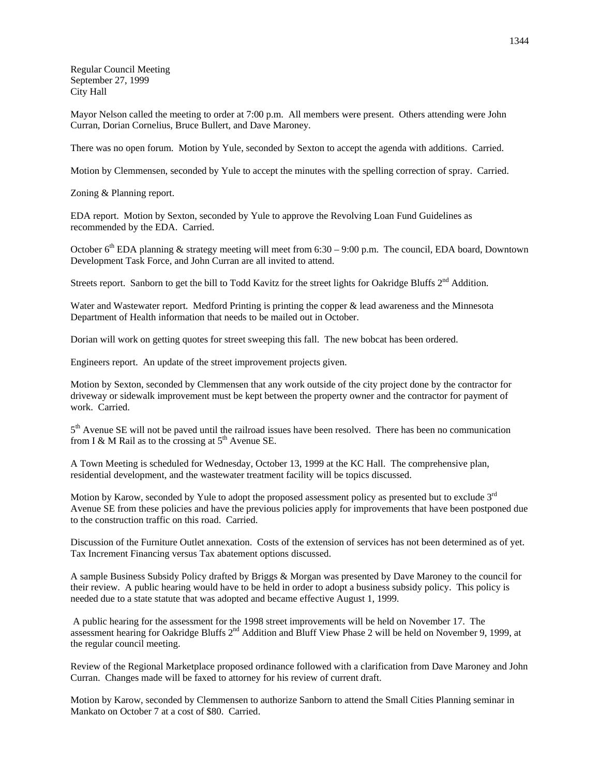Regular Council Meeting September 27, 1999 City Hall

Mayor Nelson called the meeting to order at 7:00 p.m. All members were present. Others attending were John Curran, Dorian Cornelius, Bruce Bullert, and Dave Maroney.

There was no open forum. Motion by Yule, seconded by Sexton to accept the agenda with additions. Carried.

Motion by Clemmensen, seconded by Yule to accept the minutes with the spelling correction of spray. Carried.

Zoning & Planning report.

EDA report. Motion by Sexton, seconded by Yule to approve the Revolving Loan Fund Guidelines as recommended by the EDA. Carried.

October 6<sup>th</sup> EDA planning & strategy meeting will meet from 6:30 – 9:00 p.m. The council, EDA board, Downtown Development Task Force, and John Curran are all invited to attend.

Streets report. Sanborn to get the bill to Todd Kavitz for the street lights for Oakridge Bluffs 2<sup>nd</sup> Addition.

Water and Wastewater report. Medford Printing is printing the copper & lead awareness and the Minnesota Department of Health information that needs to be mailed out in October.

Dorian will work on getting quotes for street sweeping this fall. The new bobcat has been ordered.

Engineers report. An update of the street improvement projects given.

Motion by Sexton, seconded by Clemmensen that any work outside of the city project done by the contractor for driveway or sidewalk improvement must be kept between the property owner and the contractor for payment of work. Carried.

 $5<sup>th</sup>$  Avenue SE will not be paved until the railroad issues have been resolved. There has been no communication from I & M Rail as to the crossing at  $5<sup>th</sup>$  Avenue SE.

A Town Meeting is scheduled for Wednesday, October 13, 1999 at the KC Hall. The comprehensive plan, residential development, and the wastewater treatment facility will be topics discussed.

Motion by Karow, seconded by Yule to adopt the proposed assessment policy as presented but to exclude 3<sup>rd</sup> Avenue SE from these policies and have the previous policies apply for improvements that have been postponed due to the construction traffic on this road. Carried.

Discussion of the Furniture Outlet annexation. Costs of the extension of services has not been determined as of yet. Tax Increment Financing versus Tax abatement options discussed.

A sample Business Subsidy Policy drafted by Briggs & Morgan was presented by Dave Maroney to the council for their review. A public hearing would have to be held in order to adopt a business subsidy policy. This policy is needed due to a state statute that was adopted and became effective August 1, 1999.

 A public hearing for the assessment for the 1998 street improvements will be held on November 17. The assessment hearing for Oakridge Bluffs 2nd Addition and Bluff View Phase 2 will be held on November 9, 1999, at the regular council meeting.

Review of the Regional Marketplace proposed ordinance followed with a clarification from Dave Maroney and John Curran. Changes made will be faxed to attorney for his review of current draft.

Motion by Karow, seconded by Clemmensen to authorize Sanborn to attend the Small Cities Planning seminar in Mankato on October 7 at a cost of \$80. Carried.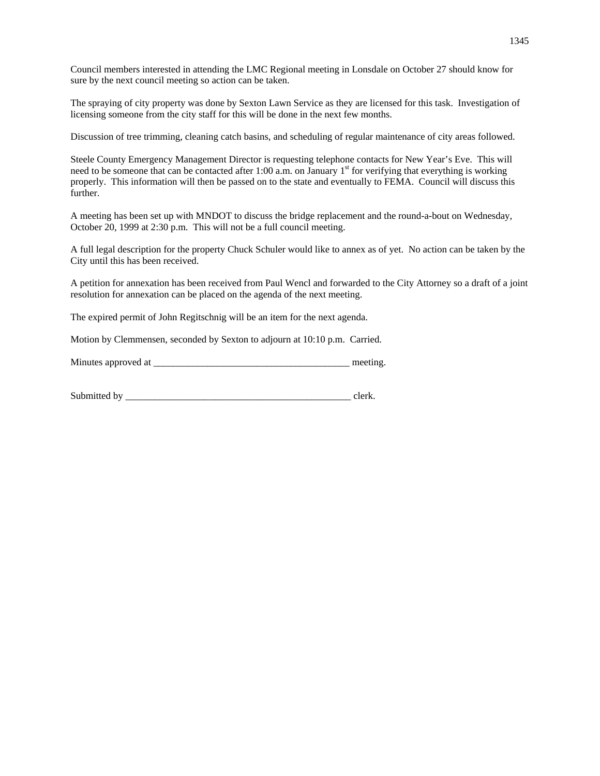Council members interested in attending the LMC Regional meeting in Lonsdale on October 27 should know for sure by the next council meeting so action can be taken.

The spraying of city property was done by Sexton Lawn Service as they are licensed for this task. Investigation of licensing someone from the city staff for this will be done in the next few months.

Discussion of tree trimming, cleaning catch basins, and scheduling of regular maintenance of city areas followed.

Steele County Emergency Management Director is requesting telephone contacts for New Year's Eve. This will need to be someone that can be contacted after 1:00 a.m. on January 1<sup>st</sup> for verifying that everything is working properly. This information will then be passed on to the state and eventually to FEMA. Council will discuss this further.

A meeting has been set up with MNDOT to discuss the bridge replacement and the round-a-bout on Wednesday, October 20, 1999 at 2:30 p.m. This will not be a full council meeting.

A full legal description for the property Chuck Schuler would like to annex as of yet. No action can be taken by the City until this has been received.

A petition for annexation has been received from Paul Wencl and forwarded to the City Attorney so a draft of a joint resolution for annexation can be placed on the agenda of the next meeting.

The expired permit of John Regitschnig will be an item for the next agenda.

Motion by Clemmensen, seconded by Sexton to adjourn at 10:10 p.m. Carried.

| Minutes approved at | meeting. |
|---------------------|----------|
|                     |          |

| Submitted by |  |
|--------------|--|
|              |  |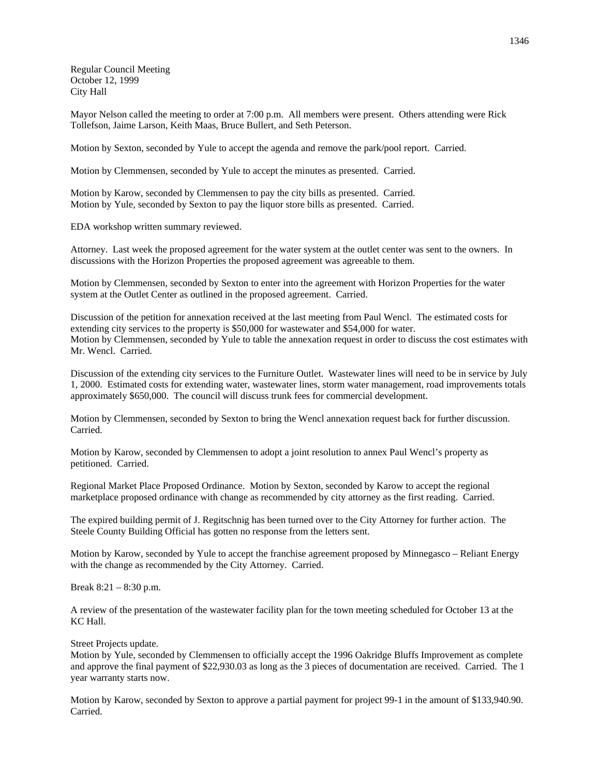Regular Council Meeting October 12, 1999 City Hall

Mayor Nelson called the meeting to order at 7:00 p.m. All members were present. Others attending were Rick Tollefson, Jaime Larson, Keith Maas, Bruce Bullert, and Seth Peterson.

Motion by Sexton, seconded by Yule to accept the agenda and remove the park/pool report. Carried.

Motion by Clemmensen, seconded by Yule to accept the minutes as presented. Carried.

Motion by Karow, seconded by Clemmensen to pay the city bills as presented. Carried. Motion by Yule, seconded by Sexton to pay the liquor store bills as presented. Carried.

EDA workshop written summary reviewed.

Attorney. Last week the proposed agreement for the water system at the outlet center was sent to the owners. In discussions with the Horizon Properties the proposed agreement was agreeable to them.

Motion by Clemmensen, seconded by Sexton to enter into the agreement with Horizon Properties for the water system at the Outlet Center as outlined in the proposed agreement. Carried.

Discussion of the petition for annexation received at the last meeting from Paul Wencl. The estimated costs for extending city services to the property is \$50,000 for wastewater and \$54,000 for water. Motion by Clemmensen, seconded by Yule to table the annexation request in order to discuss the cost estimates with Mr. Wencl. Carried.

Discussion of the extending city services to the Furniture Outlet. Wastewater lines will need to be in service by July 1, 2000. Estimated costs for extending water, wastewater lines, storm water management, road improvements totals approximately \$650,000. The council will discuss trunk fees for commercial development.

Motion by Clemmensen, seconded by Sexton to bring the Wencl annexation request back for further discussion. Carried.

Motion by Karow, seconded by Clemmensen to adopt a joint resolution to annex Paul Wencl's property as petitioned. Carried.

Regional Market Place Proposed Ordinance. Motion by Sexton, seconded by Karow to accept the regional marketplace proposed ordinance with change as recommended by city attorney as the first reading. Carried.

The expired building permit of J. Regitschnig has been turned over to the City Attorney for further action. The Steele County Building Official has gotten no response from the letters sent.

Motion by Karow, seconded by Yule to accept the franchise agreement proposed by Minnegasco – Reliant Energy with the change as recommended by the City Attorney. Carried.

Break 8:21 – 8:30 p.m.

A review of the presentation of the wastewater facility plan for the town meeting scheduled for October 13 at the KC Hall.

Street Projects update.

Motion by Yule, seconded by Clemmensen to officially accept the 1996 Oakridge Bluffs Improvement as complete and approve the final payment of \$22,930.03 as long as the 3 pieces of documentation are received. Carried. The 1 year warranty starts now.

Motion by Karow, seconded by Sexton to approve a partial payment for project 99-1 in the amount of \$133,940.90. Carried.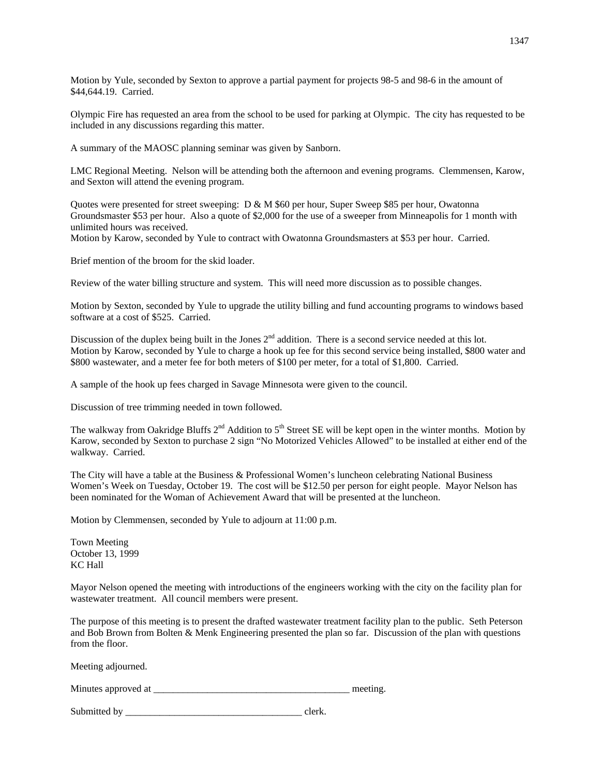Motion by Yule, seconded by Sexton to approve a partial payment for projects 98-5 and 98-6 in the amount of \$44,644.19. Carried.

Olympic Fire has requested an area from the school to be used for parking at Olympic. The city has requested to be included in any discussions regarding this matter.

A summary of the MAOSC planning seminar was given by Sanborn.

LMC Regional Meeting. Nelson will be attending both the afternoon and evening programs. Clemmensen, Karow, and Sexton will attend the evening program.

Quotes were presented for street sweeping: D & M \$60 per hour, Super Sweep \$85 per hour, Owatonna Groundsmaster \$53 per hour. Also a quote of \$2,000 for the use of a sweeper from Minneapolis for 1 month with unlimited hours was received.

Motion by Karow, seconded by Yule to contract with Owatonna Groundsmasters at \$53 per hour. Carried.

Brief mention of the broom for the skid loader.

Review of the water billing structure and system. This will need more discussion as to possible changes.

Motion by Sexton, seconded by Yule to upgrade the utility billing and fund accounting programs to windows based software at a cost of \$525. Carried.

Discussion of the duplex being built in the Jones  $2<sup>nd</sup>$  addition. There is a second service needed at this lot. Motion by Karow, seconded by Yule to charge a hook up fee for this second service being installed, \$800 water and \$800 wastewater, and a meter fee for both meters of \$100 per meter, for a total of \$1,800. Carried.

A sample of the hook up fees charged in Savage Minnesota were given to the council.

Discussion of tree trimming needed in town followed.

The walkway from Oakridge Bluffs  $2^{nd}$  Addition to  $5^{th}$  Street SE will be kept open in the winter months. Motion by Karow, seconded by Sexton to purchase 2 sign "No Motorized Vehicles Allowed" to be installed at either end of the walkway. Carried.

The City will have a table at the Business & Professional Women's luncheon celebrating National Business Women's Week on Tuesday, October 19. The cost will be \$12.50 per person for eight people. Mayor Nelson has been nominated for the Woman of Achievement Award that will be presented at the luncheon.

Motion by Clemmensen, seconded by Yule to adjourn at 11:00 p.m.

Town Meeting October 13, 1999 KC Hall

Mayor Nelson opened the meeting with introductions of the engineers working with the city on the facility plan for wastewater treatment. All council members were present.

The purpose of this meeting is to present the drafted wastewater treatment facility plan to the public. Seth Peterson and Bob Brown from Bolten & Menk Engineering presented the plan so far. Discussion of the plan with questions from the floor.

Meeting adjourned.

Minutes approved at \_\_\_\_\_\_\_\_\_\_\_\_\_\_\_\_\_\_\_\_\_\_\_\_\_\_\_\_\_\_\_\_\_\_\_\_\_\_\_\_ meeting.

Submitted by \_\_\_\_\_\_\_\_\_\_\_\_\_\_\_\_\_\_\_\_\_\_\_\_\_\_\_\_\_\_\_\_\_\_\_\_ clerk.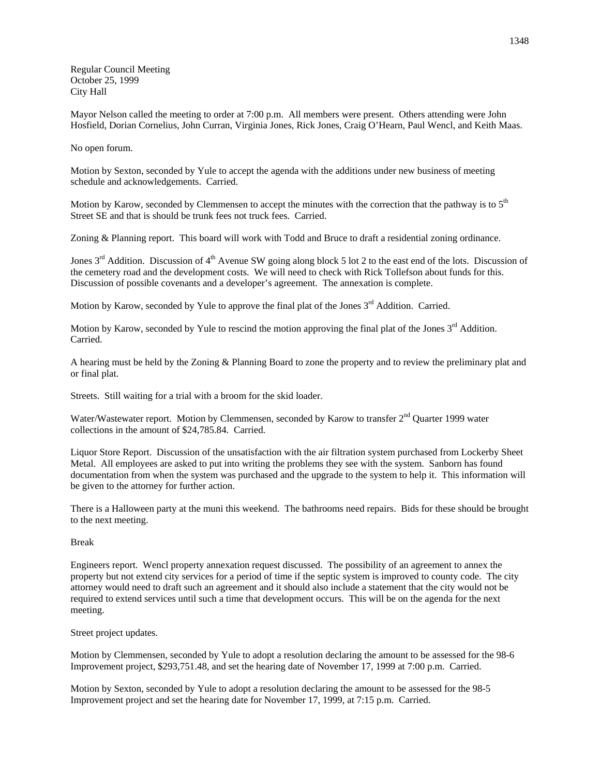Regular Council Meeting October 25, 1999 City Hall

Mayor Nelson called the meeting to order at 7:00 p.m. All members were present. Others attending were John Hosfield, Dorian Cornelius, John Curran, Virginia Jones, Rick Jones, Craig O'Hearn, Paul Wencl, and Keith Maas.

No open forum.

Motion by Sexton, seconded by Yule to accept the agenda with the additions under new business of meeting schedule and acknowledgements. Carried.

Motion by Karow, seconded by Clemmensen to accept the minutes with the correction that the pathway is to  $5<sup>th</sup>$ Street SE and that is should be trunk fees not truck fees. Carried.

Zoning & Planning report. This board will work with Todd and Bruce to draft a residential zoning ordinance.

Jones  $3<sup>rd</sup>$  Addition. Discussion of  $4<sup>th</sup>$  Avenue SW going along block 5 lot 2 to the east end of the lots. Discussion of the cemetery road and the development costs. We will need to check with Rick Tollefson about funds for this. Discussion of possible covenants and a developer's agreement. The annexation is complete.

Motion by Karow, seconded by Yule to approve the final plat of the Jones  $3<sup>rd</sup>$  Addition. Carried.

Motion by Karow, seconded by Yule to rescind the motion approving the final plat of the Jones  $3<sup>rd</sup>$  Addition. Carried.

A hearing must be held by the Zoning & Planning Board to zone the property and to review the preliminary plat and or final plat.

Streets. Still waiting for a trial with a broom for the skid loader.

Water/Wastewater report. Motion by Clemmensen, seconded by Karow to transfer 2<sup>nd</sup> Quarter 1999 water collections in the amount of \$24,785.84. Carried.

Liquor Store Report. Discussion of the unsatisfaction with the air filtration system purchased from Lockerby Sheet Metal. All employees are asked to put into writing the problems they see with the system. Sanborn has found documentation from when the system was purchased and the upgrade to the system to help it. This information will be given to the attorney for further action.

There is a Halloween party at the muni this weekend. The bathrooms need repairs. Bids for these should be brought to the next meeting.

## Break

Engineers report. Wencl property annexation request discussed. The possibility of an agreement to annex the property but not extend city services for a period of time if the septic system is improved to county code. The city attorney would need to draft such an agreement and it should also include a statement that the city would not be required to extend services until such a time that development occurs. This will be on the agenda for the next meeting.

Street project updates.

Motion by Clemmensen, seconded by Yule to adopt a resolution declaring the amount to be assessed for the 98-6 Improvement project, \$293,751.48, and set the hearing date of November 17, 1999 at 7:00 p.m. Carried.

Motion by Sexton, seconded by Yule to adopt a resolution declaring the amount to be assessed for the 98-5 Improvement project and set the hearing date for November 17, 1999, at 7:15 p.m. Carried.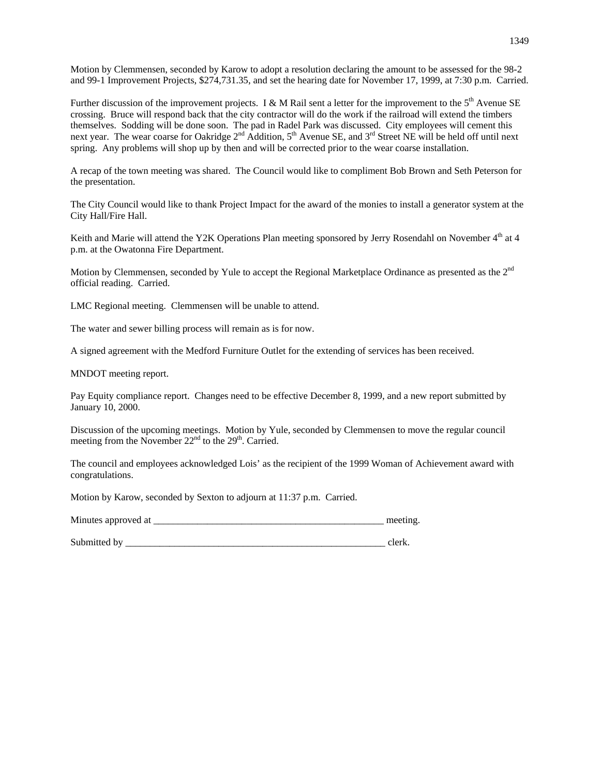Motion by Clemmensen, seconded by Karow to adopt a resolution declaring the amount to be assessed for the 98-2 and 99-1 Improvement Projects, \$274,731.35, and set the hearing date for November 17, 1999, at 7:30 p.m. Carried.

Further discussion of the improvement projects. I & M Rail sent a letter for the improvement to the  $5<sup>th</sup>$  Avenue SE crossing. Bruce will respond back that the city contractor will do the work if the railroad will extend the timbers themselves. Sodding will be done soon. The pad in Radel Park was discussed. City employees will cement this next year. The wear coarse for Oakridge 2<sup>nd</sup> Addition, 5<sup>th</sup> Avenue SE, and 3<sup>rd</sup> Street NE will be held off until next spring. Any problems will shop up by then and will be corrected prior to the wear coarse installation.

A recap of the town meeting was shared. The Council would like to compliment Bob Brown and Seth Peterson for the presentation.

The City Council would like to thank Project Impact for the award of the monies to install a generator system at the City Hall/Fire Hall.

Keith and Marie will attend the Y2K Operations Plan meeting sponsored by Jerry Rosendahl on November 4<sup>th</sup> at 4 p.m. at the Owatonna Fire Department.

Motion by Clemmensen, seconded by Yule to accept the Regional Marketplace Ordinance as presented as the 2<sup>nd</sup> official reading. Carried.

LMC Regional meeting. Clemmensen will be unable to attend.

The water and sewer billing process will remain as is for now.

A signed agreement with the Medford Furniture Outlet for the extending of services has been received.

MNDOT meeting report.

Pay Equity compliance report. Changes need to be effective December 8, 1999, and a new report submitted by January 10, 2000.

Discussion of the upcoming meetings. Motion by Yule, seconded by Clemmensen to move the regular council meeting from the November  $22<sup>nd</sup>$  to the  $29<sup>th</sup>$ . Carried.

The council and employees acknowledged Lois' as the recipient of the 1999 Woman of Achievement award with congratulations.

Motion by Karow, seconded by Sexton to adjourn at 11:37 p.m. Carried.

Minutes approved at \_\_\_\_\_\_\_\_\_\_\_\_\_\_\_\_\_\_\_\_\_\_\_\_\_\_\_\_\_\_\_\_\_\_\_\_\_\_\_\_\_\_\_\_\_\_\_ meeting.

Submitted by \_\_\_\_\_\_\_\_\_\_\_\_\_\_\_\_\_\_\_\_\_\_\_\_\_\_\_\_\_\_\_\_\_\_\_\_\_\_\_\_\_\_\_\_\_\_\_\_\_\_\_\_\_ clerk.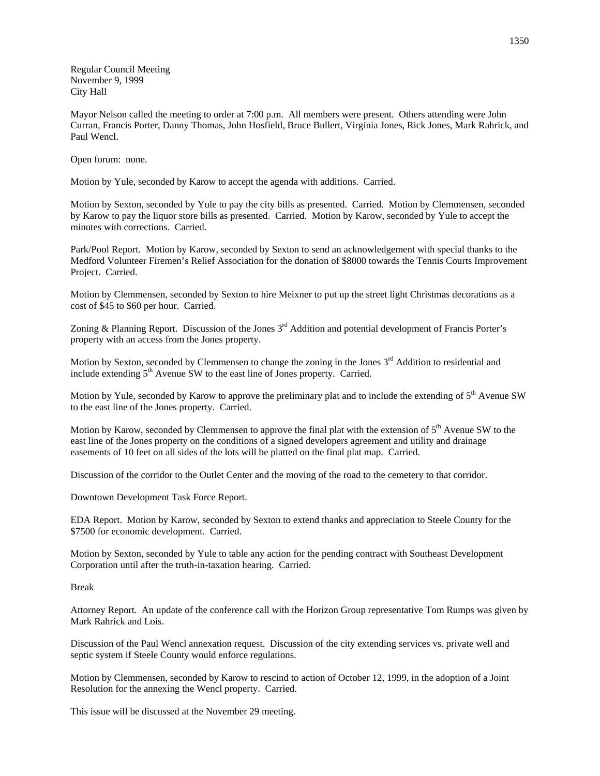Regular Council Meeting November 9, 1999 City Hall

Mayor Nelson called the meeting to order at 7:00 p.m. All members were present. Others attending were John Curran, Francis Porter, Danny Thomas, John Hosfield, Bruce Bullert, Virginia Jones, Rick Jones, Mark Rahrick, and Paul Wencl.

Open forum: none.

Motion by Yule, seconded by Karow to accept the agenda with additions. Carried.

Motion by Sexton, seconded by Yule to pay the city bills as presented. Carried. Motion by Clemmensen, seconded by Karow to pay the liquor store bills as presented. Carried. Motion by Karow, seconded by Yule to accept the minutes with corrections. Carried.

Park/Pool Report. Motion by Karow, seconded by Sexton to send an acknowledgement with special thanks to the Medford Volunteer Firemen's Relief Association for the donation of \$8000 towards the Tennis Courts Improvement Project. Carried.

Motion by Clemmensen, seconded by Sexton to hire Meixner to put up the street light Christmas decorations as a cost of \$45 to \$60 per hour. Carried.

Zoning & Planning Report. Discussion of the Jones 3<sup>rd</sup> Addition and potential development of Francis Porter's property with an access from the Jones property.

Motion by Sexton, seconded by Clemmensen to change the zoning in the Jones 3<sup>rd</sup> Addition to residential and include extending  $5<sup>th</sup>$  Avenue SW to the east line of Jones property. Carried.

Motion by Yule, seconded by Karow to approve the preliminary plat and to include the extending of  $5<sup>th</sup>$  Avenue SW to the east line of the Jones property. Carried.

Motion by Karow, seconded by Clemmensen to approve the final plat with the extension of  $5<sup>th</sup>$  Avenue SW to the east line of the Jones property on the conditions of a signed developers agreement and utility and drainage easements of 10 feet on all sides of the lots will be platted on the final plat map. Carried.

Discussion of the corridor to the Outlet Center and the moving of the road to the cemetery to that corridor.

Downtown Development Task Force Report.

EDA Report. Motion by Karow, seconded by Sexton to extend thanks and appreciation to Steele County for the \$7500 for economic development. Carried.

Motion by Sexton, seconded by Yule to table any action for the pending contract with Southeast Development Corporation until after the truth-in-taxation hearing. Carried.

## Break

Attorney Report. An update of the conference call with the Horizon Group representative Tom Rumps was given by Mark Rahrick and Lois.

Discussion of the Paul Wencl annexation request. Discussion of the city extending services vs. private well and septic system if Steele County would enforce regulations.

Motion by Clemmensen, seconded by Karow to rescind to action of October 12, 1999, in the adoption of a Joint Resolution for the annexing the Wencl property. Carried.

This issue will be discussed at the November 29 meeting.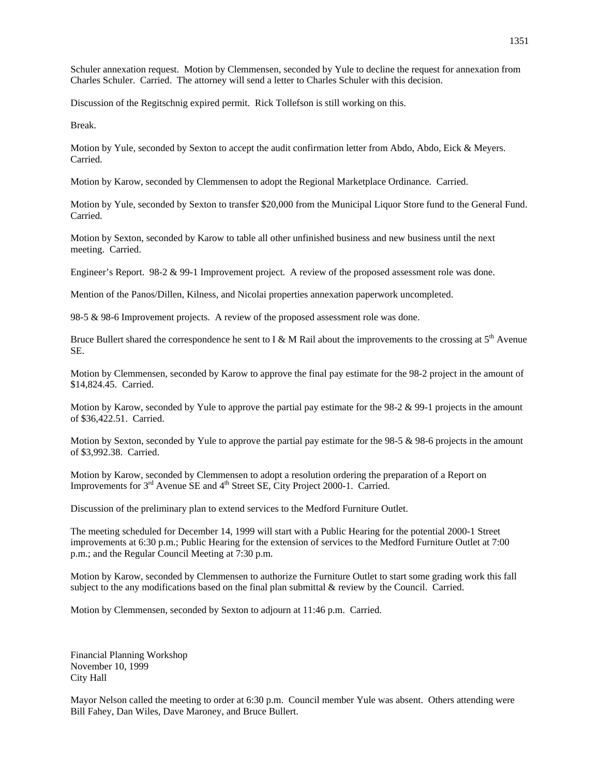Schuler annexation request. Motion by Clemmensen, seconded by Yule to decline the request for annexation from Charles Schuler. Carried. The attorney will send a letter to Charles Schuler with this decision.

Discussion of the Regitschnig expired permit. Rick Tollefson is still working on this.

Break.

Motion by Yule, seconded by Sexton to accept the audit confirmation letter from Abdo, Abdo, Eick & Meyers. Carried.

Motion by Karow, seconded by Clemmensen to adopt the Regional Marketplace Ordinance. Carried.

Motion by Yule, seconded by Sexton to transfer \$20,000 from the Municipal Liquor Store fund to the General Fund. Carried.

Motion by Sexton, seconded by Karow to table all other unfinished business and new business until the next meeting. Carried.

Engineer's Report. 98-2 & 99-1 Improvement project. A review of the proposed assessment role was done.

Mention of the Panos/Dillen, Kilness, and Nicolai properties annexation paperwork uncompleted.

98-5 & 98-6 Improvement projects. A review of the proposed assessment role was done.

Bruce Bullert shared the correspondence he sent to I & M Rail about the improvements to the crossing at  $5<sup>th</sup>$  Avenue SE.

Motion by Clemmensen, seconded by Karow to approve the final pay estimate for the 98-2 project in the amount of \$14,824.45. Carried.

Motion by Karow, seconded by Yule to approve the partial pay estimate for the 98-2 & 99-1 projects in the amount of \$36,422.51. Carried.

Motion by Sexton, seconded by Yule to approve the partial pay estimate for the 98-5 & 98-6 projects in the amount of \$3,992.38. Carried.

Motion by Karow, seconded by Clemmensen to adopt a resolution ordering the preparation of a Report on Improvements for 3<sup>rd</sup> Avenue SE and 4<sup>th</sup> Street SE, City Project 2000-1. Carried.

Discussion of the preliminary plan to extend services to the Medford Furniture Outlet.

The meeting scheduled for December 14, 1999 will start with a Public Hearing for the potential 2000-1 Street improvements at 6:30 p.m.; Public Hearing for the extension of services to the Medford Furniture Outlet at 7:00 p.m.; and the Regular Council Meeting at 7:30 p.m.

Motion by Karow, seconded by Clemmensen to authorize the Furniture Outlet to start some grading work this fall subject to the any modifications based on the final plan submittal & review by the Council. Carried.

Motion by Clemmensen, seconded by Sexton to adjourn at 11:46 p.m. Carried.

Financial Planning Workshop November 10, 1999 City Hall

Mayor Nelson called the meeting to order at 6:30 p.m. Council member Yule was absent. Others attending were Bill Fahey, Dan Wiles, Dave Maroney, and Bruce Bullert.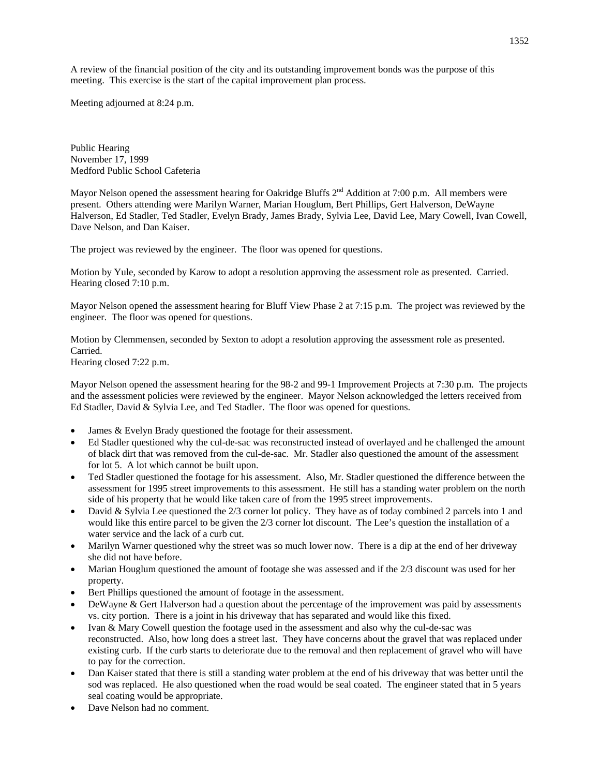A review of the financial position of the city and its outstanding improvement bonds was the purpose of this meeting. This exercise is the start of the capital improvement plan process.

Meeting adjourned at 8:24 p.m.

Public Hearing November 17, 1999 Medford Public School Cafeteria

Mayor Nelson opened the assessment hearing for Oakridge Bluffs  $2<sup>nd</sup>$  Addition at 7:00 p.m. All members were present. Others attending were Marilyn Warner, Marian Houglum, Bert Phillips, Gert Halverson, DeWayne Halverson, Ed Stadler, Ted Stadler, Evelyn Brady, James Brady, Sylvia Lee, David Lee, Mary Cowell, Ivan Cowell, Dave Nelson, and Dan Kaiser.

The project was reviewed by the engineer. The floor was opened for questions.

Motion by Yule, seconded by Karow to adopt a resolution approving the assessment role as presented. Carried. Hearing closed 7:10 p.m.

Mayor Nelson opened the assessment hearing for Bluff View Phase 2 at 7:15 p.m. The project was reviewed by the engineer. The floor was opened for questions.

Motion by Clemmensen, seconded by Sexton to adopt a resolution approving the assessment role as presented. Carried.

Hearing closed 7:22 p.m.

Mayor Nelson opened the assessment hearing for the 98-2 and 99-1 Improvement Projects at 7:30 p.m. The projects and the assessment policies were reviewed by the engineer. Mayor Nelson acknowledged the letters received from Ed Stadler, David & Sylvia Lee, and Ted Stadler. The floor was opened for questions.

- James & Evelyn Brady questioned the footage for their assessment.
- Ed Stadler questioned why the cul-de-sac was reconstructed instead of overlayed and he challenged the amount of black dirt that was removed from the cul-de-sac. Mr. Stadler also questioned the amount of the assessment for lot 5. A lot which cannot be built upon.
- Ted Stadler questioned the footage for his assessment. Also, Mr. Stadler questioned the difference between the assessment for 1995 street improvements to this assessment. He still has a standing water problem on the north side of his property that he would like taken care of from the 1995 street improvements.
- David & Sylvia Lee questioned the 2/3 corner lot policy. They have as of today combined 2 parcels into 1 and would like this entire parcel to be given the 2/3 corner lot discount. The Lee's question the installation of a water service and the lack of a curb cut.
- Marilyn Warner questioned why the street was so much lower now. There is a dip at the end of her driveway she did not have before.
- Marian Houglum questioned the amount of footage she was assessed and if the 2/3 discount was used for her property.
- Bert Phillips questioned the amount of footage in the assessment.
- DeWayne & Gert Halverson had a question about the percentage of the improvement was paid by assessments vs. city portion. There is a joint in his driveway that has separated and would like this fixed.
- Ivan & Mary Cowell question the footage used in the assessment and also why the cul-de-sac was reconstructed. Also, how long does a street last. They have concerns about the gravel that was replaced under existing curb. If the curb starts to deteriorate due to the removal and then replacement of gravel who will have to pay for the correction.
- Dan Kaiser stated that there is still a standing water problem at the end of his driveway that was better until the sod was replaced. He also questioned when the road would be seal coated. The engineer stated that in 5 years seal coating would be appropriate.
- Dave Nelson had no comment.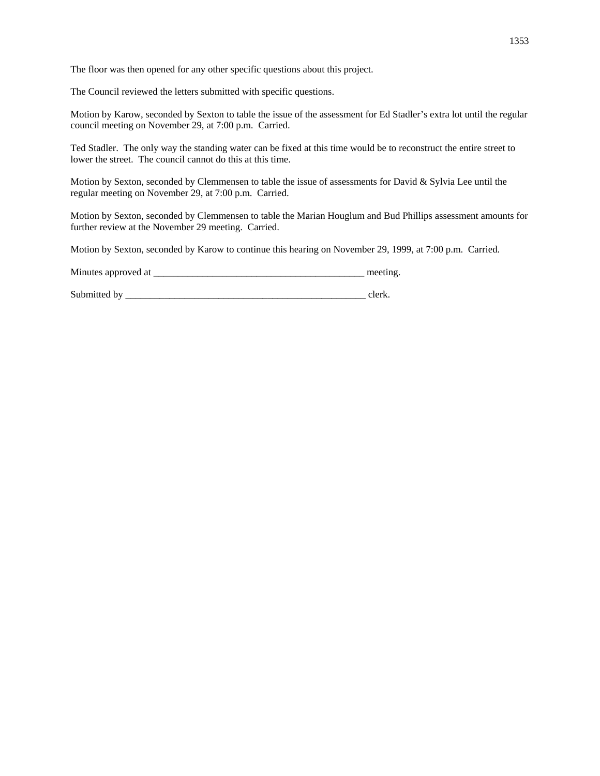The floor was then opened for any other specific questions about this project.

The Council reviewed the letters submitted with specific questions.

Motion by Karow, seconded by Sexton to table the issue of the assessment for Ed Stadler's extra lot until the regular council meeting on November 29, at 7:00 p.m. Carried.

Ted Stadler. The only way the standing water can be fixed at this time would be to reconstruct the entire street to lower the street. The council cannot do this at this time.

Motion by Sexton, seconded by Clemmensen to table the issue of assessments for David & Sylvia Lee until the regular meeting on November 29, at 7:00 p.m. Carried.

Motion by Sexton, seconded by Clemmensen to table the Marian Houglum and Bud Phillips assessment amounts for further review at the November 29 meeting. Carried.

Motion by Sexton, seconded by Karow to continue this hearing on November 29, 1999, at 7:00 p.m. Carried.

Minutes approved at \_\_\_\_\_\_\_\_\_\_\_\_\_\_\_\_\_\_\_\_\_\_\_\_\_\_\_\_\_\_\_\_\_\_\_\_\_\_\_\_\_\_\_ meeting.

Submitted by \_\_\_\_\_\_\_\_\_\_\_\_\_\_\_\_\_\_\_\_\_\_\_\_\_\_\_\_\_\_\_\_\_\_\_\_\_\_\_\_\_\_\_\_\_\_\_\_\_ clerk.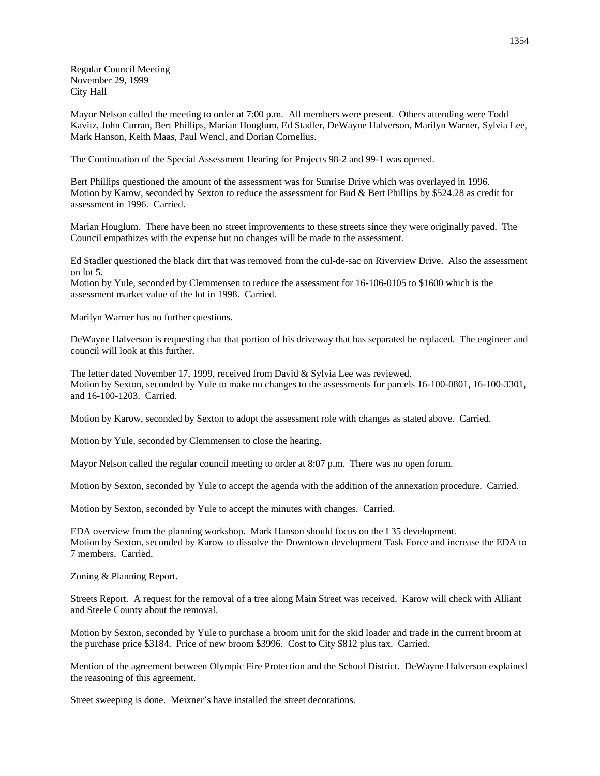Regular Council Meeting November 29, 1999 City Hall

Mayor Nelson called the meeting to order at 7:00 p.m. All members were present. Others attending were Todd Kavitz, John Curran, Bert Phillips, Marian Houglum, Ed Stadler, DeWayne Halverson, Marilyn Warner, Sylvia Lee, Mark Hanson, Keith Maas, Paul Wencl, and Dorian Cornelius.

The Continuation of the Special Assessment Hearing for Projects 98-2 and 99-1 was opened.

Bert Phillips questioned the amount of the assessment was for Sunrise Drive which was overlayed in 1996. Motion by Karow, seconded by Sexton to reduce the assessment for Bud & Bert Phillips by \$524.28 as credit for assessment in 1996. Carried.

Marian Houglum. There have been no street improvements to these streets since they were originally paved. The Council empathizes with the expense but no changes will be made to the assessment.

Ed Stadler questioned the black dirt that was removed from the cul-de-sac on Riverview Drive. Also the assessment on lot 5.

Motion by Yule, seconded by Clemmensen to reduce the assessment for 16-106-0105 to \$1600 which is the assessment market value of the lot in 1998. Carried.

Marilyn Warner has no further questions.

DeWayne Halverson is requesting that that portion of his driveway that has separated be replaced. The engineer and council will look at this further.

The letter dated November 17, 1999, received from David & Sylvia Lee was reviewed. Motion by Sexton, seconded by Yule to make no changes to the assessments for parcels 16-100-0801, 16-100-3301, and 16-100-1203. Carried.

Motion by Karow, seconded by Sexton to adopt the assessment role with changes as stated above. Carried.

Motion by Yule, seconded by Clemmensen to close the hearing.

Mayor Nelson called the regular council meeting to order at 8:07 p.m. There was no open forum.

Motion by Sexton, seconded by Yule to accept the agenda with the addition of the annexation procedure. Carried.

Motion by Sexton, seconded by Yule to accept the minutes with changes. Carried.

EDA overview from the planning workshop. Mark Hanson should focus on the I 35 development. Motion by Sexton, seconded by Karow to dissolve the Downtown development Task Force and increase the EDA to 7 members. Carried.

Zoning & Planning Report.

Streets Report. A request for the removal of a tree along Main Street was received. Karow will check with Alliant and Steele County about the removal.

Motion by Sexton, seconded by Yule to purchase a broom unit for the skid loader and trade in the current broom at the purchase price \$3184. Price of new broom \$3996. Cost to City \$812 plus tax. Carried.

Mention of the agreement between Olympic Fire Protection and the School District. DeWayne Halverson explained the reasoning of this agreement.

Street sweeping is done. Meixner's have installed the street decorations.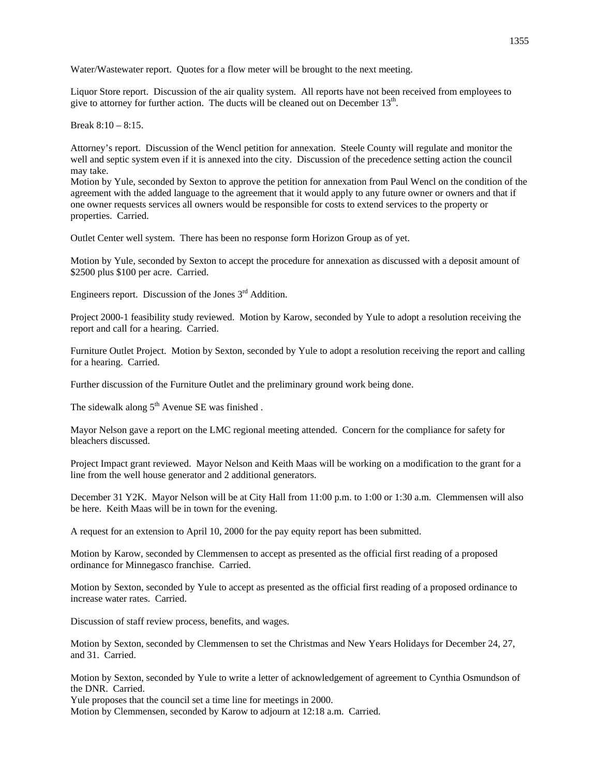Water/Wastewater report. Quotes for a flow meter will be brought to the next meeting.

Liquor Store report. Discussion of the air quality system. All reports have not been received from employees to give to attorney for further action. The ducts will be cleaned out on December 13<sup>th</sup>.

Break 8:10 – 8:15.

Attorney's report. Discussion of the Wencl petition for annexation. Steele County will regulate and monitor the well and septic system even if it is annexed into the city. Discussion of the precedence setting action the council may take.

Motion by Yule, seconded by Sexton to approve the petition for annexation from Paul Wencl on the condition of the agreement with the added language to the agreement that it would apply to any future owner or owners and that if one owner requests services all owners would be responsible for costs to extend services to the property or properties. Carried.

Outlet Center well system. There has been no response form Horizon Group as of yet.

Motion by Yule, seconded by Sexton to accept the procedure for annexation as discussed with a deposit amount of \$2500 plus \$100 per acre. Carried.

Engineers report. Discussion of the Jones  $3<sup>rd</sup>$  Addition.

Project 2000-1 feasibility study reviewed. Motion by Karow, seconded by Yule to adopt a resolution receiving the report and call for a hearing. Carried.

Furniture Outlet Project. Motion by Sexton, seconded by Yule to adopt a resolution receiving the report and calling for a hearing. Carried.

Further discussion of the Furniture Outlet and the preliminary ground work being done.

The sidewalk along  $5<sup>th</sup>$  Avenue SE was finished .

Mayor Nelson gave a report on the LMC regional meeting attended. Concern for the compliance for safety for bleachers discussed.

Project Impact grant reviewed. Mayor Nelson and Keith Maas will be working on a modification to the grant for a line from the well house generator and 2 additional generators.

December 31 Y2K. Mayor Nelson will be at City Hall from 11:00 p.m. to 1:00 or 1:30 a.m. Clemmensen will also be here. Keith Maas will be in town for the evening.

A request for an extension to April 10, 2000 for the pay equity report has been submitted.

Motion by Karow, seconded by Clemmensen to accept as presented as the official first reading of a proposed ordinance for Minnegasco franchise. Carried.

Motion by Sexton, seconded by Yule to accept as presented as the official first reading of a proposed ordinance to increase water rates. Carried.

Discussion of staff review process, benefits, and wages.

Motion by Sexton, seconded by Clemmensen to set the Christmas and New Years Holidays for December 24, 27, and 31. Carried.

Motion by Sexton, seconded by Yule to write a letter of acknowledgement of agreement to Cynthia Osmundson of the DNR. Carried.

Yule proposes that the council set a time line for meetings in 2000.

Motion by Clemmensen, seconded by Karow to adjourn at 12:18 a.m. Carried.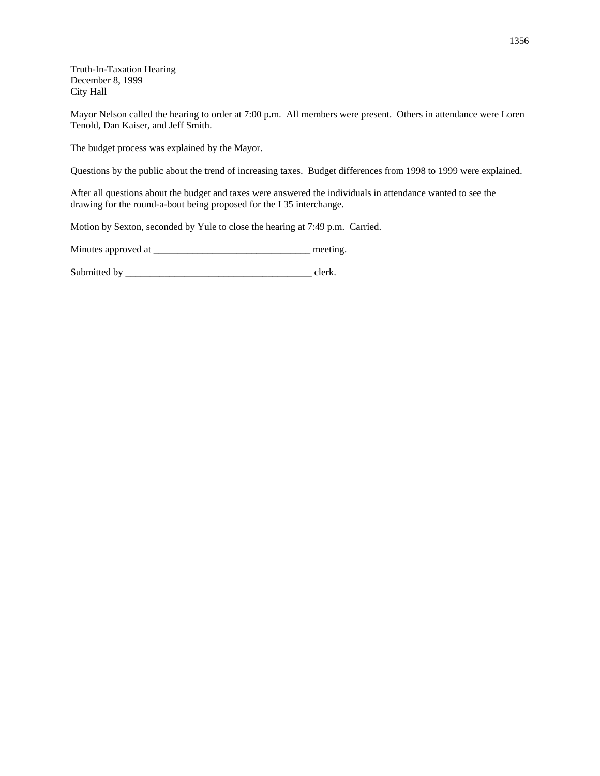Truth-In-Taxation Hearing December 8, 1999 City Hall

Mayor Nelson called the hearing to order at 7:00 p.m. All members were present. Others in attendance were Loren Tenold, Dan Kaiser, and Jeff Smith.

The budget process was explained by the Mayor.

Questions by the public about the trend of increasing taxes. Budget differences from 1998 to 1999 were explained.

After all questions about the budget and taxes were answered the individuals in attendance wanted to see the drawing for the round-a-bout being proposed for the I 35 interchange.

Motion by Sexton, seconded by Yule to close the hearing at 7:49 p.m. Carried.

Minutes approved at \_\_\_\_\_\_\_\_\_\_\_\_\_\_\_\_\_\_\_\_\_\_\_\_\_\_\_\_\_\_\_\_ meeting.

Submitted by \_\_\_\_\_\_\_\_\_\_\_\_\_\_\_\_\_\_\_\_\_\_\_\_\_\_\_\_\_\_\_\_\_\_\_\_\_\_ clerk.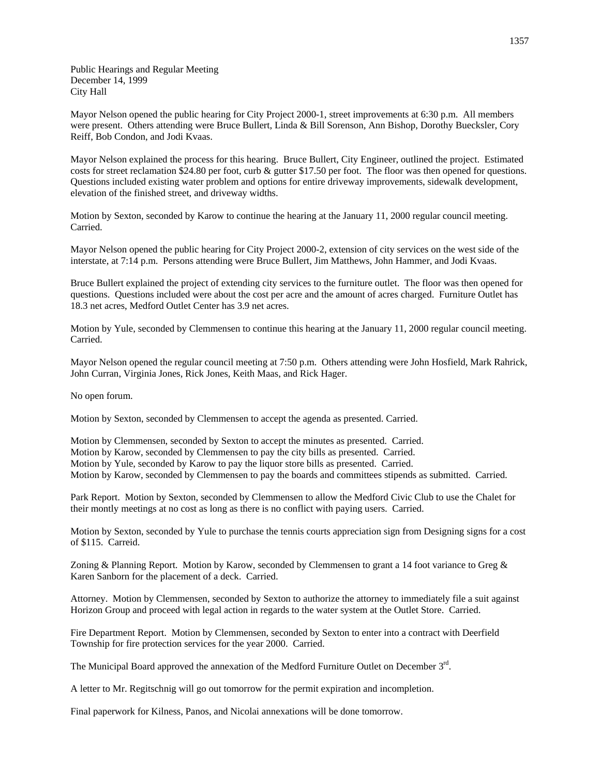Public Hearings and Regular Meeting December 14, 1999 City Hall

Mayor Nelson opened the public hearing for City Project 2000-1, street improvements at 6:30 p.m. All members were present. Others attending were Bruce Bullert, Linda & Bill Sorenson, Ann Bishop, Dorothy Buecksler, Cory Reiff, Bob Condon, and Jodi Kvaas.

Mayor Nelson explained the process for this hearing. Bruce Bullert, City Engineer, outlined the project. Estimated costs for street reclamation \$24.80 per foot, curb & gutter \$17.50 per foot. The floor was then opened for questions. Questions included existing water problem and options for entire driveway improvements, sidewalk development, elevation of the finished street, and driveway widths.

Motion by Sexton, seconded by Karow to continue the hearing at the January 11, 2000 regular council meeting. Carried.

Mayor Nelson opened the public hearing for City Project 2000-2, extension of city services on the west side of the interstate, at 7:14 p.m. Persons attending were Bruce Bullert, Jim Matthews, John Hammer, and Jodi Kvaas.

Bruce Bullert explained the project of extending city services to the furniture outlet. The floor was then opened for questions. Questions included were about the cost per acre and the amount of acres charged. Furniture Outlet has 18.3 net acres, Medford Outlet Center has 3.9 net acres.

Motion by Yule, seconded by Clemmensen to continue this hearing at the January 11, 2000 regular council meeting. Carried.

Mayor Nelson opened the regular council meeting at 7:50 p.m. Others attending were John Hosfield, Mark Rahrick, John Curran, Virginia Jones, Rick Jones, Keith Maas, and Rick Hager.

No open forum.

Motion by Sexton, seconded by Clemmensen to accept the agenda as presented. Carried.

Motion by Clemmensen, seconded by Sexton to accept the minutes as presented. Carried. Motion by Karow, seconded by Clemmensen to pay the city bills as presented. Carried. Motion by Yule, seconded by Karow to pay the liquor store bills as presented. Carried. Motion by Karow, seconded by Clemmensen to pay the boards and committees stipends as submitted. Carried.

Park Report. Motion by Sexton, seconded by Clemmensen to allow the Medford Civic Club to use the Chalet for their montly meetings at no cost as long as there is no conflict with paying users. Carried.

Motion by Sexton, seconded by Yule to purchase the tennis courts appreciation sign from Designing signs for a cost of \$115. Carreid.

Zoning & Planning Report. Motion by Karow, seconded by Clemmensen to grant a 14 foot variance to Greg & Karen Sanborn for the placement of a deck. Carried.

Attorney. Motion by Clemmensen, seconded by Sexton to authorize the attorney to immediately file a suit against Horizon Group and proceed with legal action in regards to the water system at the Outlet Store. Carried.

Fire Department Report. Motion by Clemmensen, seconded by Sexton to enter into a contract with Deerfield Township for fire protection services for the year 2000. Carried.

The Municipal Board approved the annexation of the Medford Furniture Outlet on December 3rd.

A letter to Mr. Regitschnig will go out tomorrow for the permit expiration and incompletion.

Final paperwork for Kilness, Panos, and Nicolai annexations will be done tomorrow.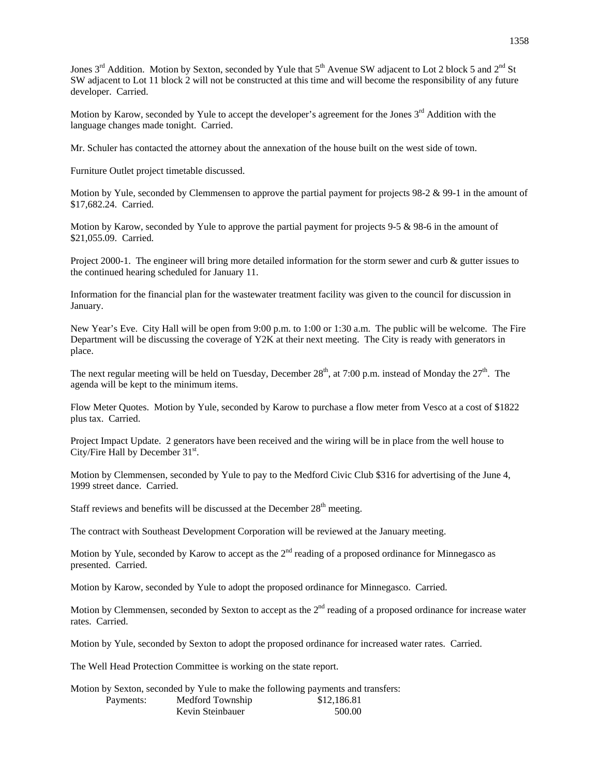Jones  $3<sup>rd</sup>$  Addition. Motion by Sexton, seconded by Yule that  $5<sup>th</sup>$  Avenue SW adjacent to Lot 2 block 5 and  $2<sup>nd</sup>$  St SW adjacent to Lot 11 block 2 will not be constructed at this time and will become the responsibility of any future developer. Carried.

Motion by Karow, seconded by Yule to accept the developer's agreement for the Jones 3<sup>rd</sup> Addition with the language changes made tonight. Carried.

Mr. Schuler has contacted the attorney about the annexation of the house built on the west side of town.

Furniture Outlet project timetable discussed.

Motion by Yule, seconded by Clemmensen to approve the partial payment for projects 98-2 & 99-1 in the amount of \$17,682.24. Carried.

Motion by Karow, seconded by Yule to approve the partial payment for projects 9-5 & 98-6 in the amount of \$21,055.09. Carried.

Project 2000-1. The engineer will bring more detailed information for the storm sewer and curb & gutter issues to the continued hearing scheduled for January 11.

Information for the financial plan for the wastewater treatment facility was given to the council for discussion in January.

New Year's Eve. City Hall will be open from 9:00 p.m. to 1:00 or 1:30 a.m. The public will be welcome. The Fire Department will be discussing the coverage of Y2K at their next meeting. The City is ready with generators in place.

The next regular meeting will be held on Tuesday, December  $28<sup>th</sup>$ , at 7:00 p.m. instead of Monday the  $27<sup>th</sup>$ . The agenda will be kept to the minimum items.

Flow Meter Quotes. Motion by Yule, seconded by Karow to purchase a flow meter from Vesco at a cost of \$1822 plus tax. Carried.

Project Impact Update. 2 generators have been received and the wiring will be in place from the well house to City/Fire Hall by December 31<sup>st</sup>.

Motion by Clemmensen, seconded by Yule to pay to the Medford Civic Club \$316 for advertising of the June 4, 1999 street dance. Carried.

Staff reviews and benefits will be discussed at the December  $28<sup>th</sup>$  meeting.

The contract with Southeast Development Corporation will be reviewed at the January meeting.

Motion by Yule, seconded by Karow to accept as the 2<sup>nd</sup> reading of a proposed ordinance for Minnegasco as presented. Carried.

Motion by Karow, seconded by Yule to adopt the proposed ordinance for Minnegasco. Carried.

Motion by Clemmensen, seconded by Sexton to accept as the  $2<sup>nd</sup>$  reading of a proposed ordinance for increase water rates. Carried.

Motion by Yule, seconded by Sexton to adopt the proposed ordinance for increased water rates. Carried.

The Well Head Protection Committee is working on the state report.

Motion by Sexton, seconded by Yule to make the following payments and transfers:

| Payments: | Medford Township | \$12,186.81 |
|-----------|------------------|-------------|
|           | Kevin Steinbauer | 500.00      |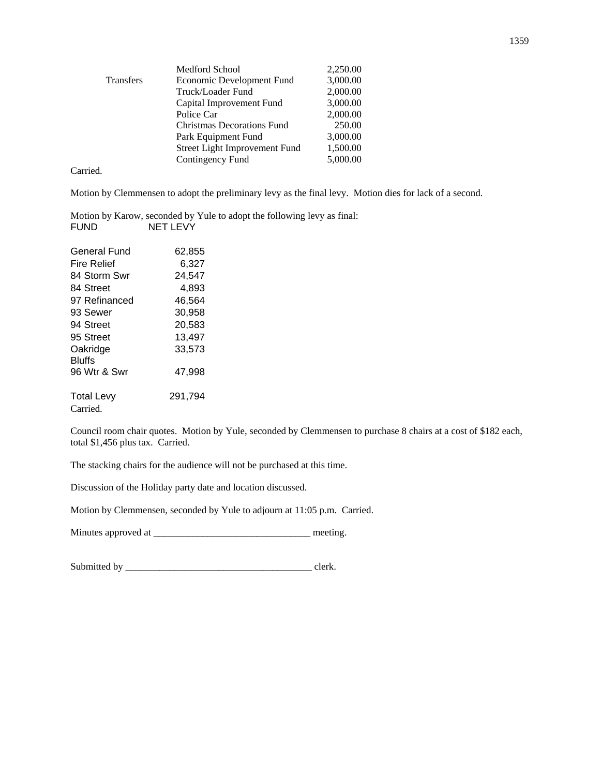|                  | <b>Medford School</b>         | 2,250.00 |
|------------------|-------------------------------|----------|
| <b>Transfers</b> | Economic Development Fund     | 3,000.00 |
|                  | Truck/Loader Fund             | 2,000.00 |
|                  | Capital Improvement Fund      | 3,000.00 |
|                  | Police Car                    | 2,000.00 |
|                  | Christmas Decorations Fund    | 250.00   |
|                  | Park Equipment Fund           | 3,000.00 |
|                  | Street Light Improvement Fund | 1,500.00 |
|                  | Contingency Fund              | 5,000.00 |
|                  |                               |          |

Carried.

Motion by Clemmensen to adopt the preliminary levy as the final levy. Motion dies for lack of a second.

Motion by Karow, seconded by Yule to adopt the following levy as final:<br>FUND NET LEVY NET LEVY

| General Fund      | 62.855  |
|-------------------|---------|
| Fire Relief       | 6,327   |
| 84 Storm Swr      | 24,547  |
| 84 Street         | 4,893   |
| 97 Refinanced     | 46,564  |
| 93 Sewer          | 30.958  |
| 94 Street         | 20,583  |
| 95 Street         | 13,497  |
| Oakridge          | 33,573  |
| Bluffs            |         |
| 96 Wtr & Swr      | 47,998  |
| <b>Total Levy</b> | 291,794 |
| Carried.          |         |

Council room chair quotes. Motion by Yule, seconded by Clemmensen to purchase 8 chairs at a cost of \$182 each, total \$1,456 plus tax. Carried.

The stacking chairs for the audience will not be purchased at this time.

Discussion of the Holiday party date and location discussed.

Motion by Clemmensen, seconded by Yule to adjourn at 11:05 p.m. Carried.

Minutes approved at \_\_\_\_\_\_\_\_\_\_\_\_\_\_\_\_\_\_\_\_\_\_\_\_\_\_\_\_\_\_\_\_ meeting.

Submitted by \_\_\_\_\_\_\_\_\_\_\_\_\_\_\_\_\_\_\_\_\_\_\_\_\_\_\_\_\_\_\_\_\_\_\_\_\_\_ clerk.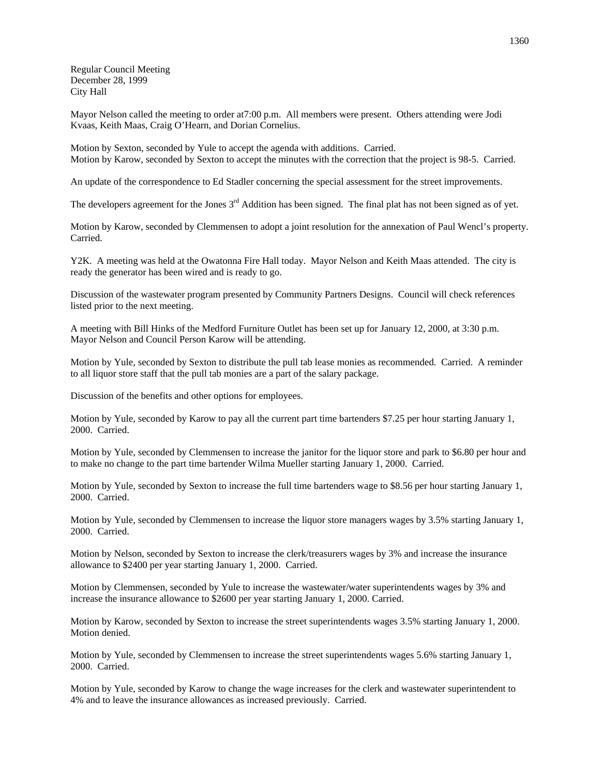Regular Council Meeting December 28, 1999 City Hall

Mayor Nelson called the meeting to order at7:00 p.m. All members were present. Others attending were Jodi Kvaas, Keith Maas, Craig O'Hearn, and Dorian Cornelius.

Motion by Sexton, seconded by Yule to accept the agenda with additions. Carried. Motion by Karow, seconded by Sexton to accept the minutes with the correction that the project is 98-5. Carried.

An update of the correspondence to Ed Stadler concerning the special assessment for the street improvements.

The developers agreement for the Jones 3<sup>rd</sup> Addition has been signed. The final plat has not been signed as of yet.

Motion by Karow, seconded by Clemmensen to adopt a joint resolution for the annexation of Paul Wencl's property. Carried.

Y2K. A meeting was held at the Owatonna Fire Hall today. Mayor Nelson and Keith Maas attended. The city is ready the generator has been wired and is ready to go.

Discussion of the wastewater program presented by Community Partners Designs. Council will check references listed prior to the next meeting.

A meeting with Bill Hinks of the Medford Furniture Outlet has been set up for January 12, 2000, at 3:30 p.m. Mayor Nelson and Council Person Karow will be attending.

Motion by Yule, seconded by Sexton to distribute the pull tab lease monies as recommended. Carried. A reminder to all liquor store staff that the pull tab monies are a part of the salary package.

Discussion of the benefits and other options for employees.

Motion by Yule, seconded by Karow to pay all the current part time bartenders \$7.25 per hour starting January 1, 2000. Carried.

Motion by Yule, seconded by Clemmensen to increase the janitor for the liquor store and park to \$6.80 per hour and to make no change to the part time bartender Wilma Mueller starting January 1, 2000. Carried.

Motion by Yule, seconded by Sexton to increase the full time bartenders wage to \$8.56 per hour starting January 1, 2000. Carried.

Motion by Yule, seconded by Clemmensen to increase the liquor store managers wages by 3.5% starting January 1, 2000. Carried.

Motion by Nelson, seconded by Sexton to increase the clerk/treasurers wages by 3% and increase the insurance allowance to \$2400 per year starting January 1, 2000. Carried.

Motion by Clemmensen, seconded by Yule to increase the wastewater/water superintendents wages by 3% and increase the insurance allowance to \$2600 per year starting January 1, 2000. Carried.

Motion by Karow, seconded by Sexton to increase the street superintendents wages 3.5% starting January 1, 2000. Motion denied.

Motion by Yule, seconded by Clemmensen to increase the street superintendents wages 5.6% starting January 1, 2000. Carried.

Motion by Yule, seconded by Karow to change the wage increases for the clerk and wastewater superintendent to 4% and to leave the insurance allowances as increased previously. Carried.